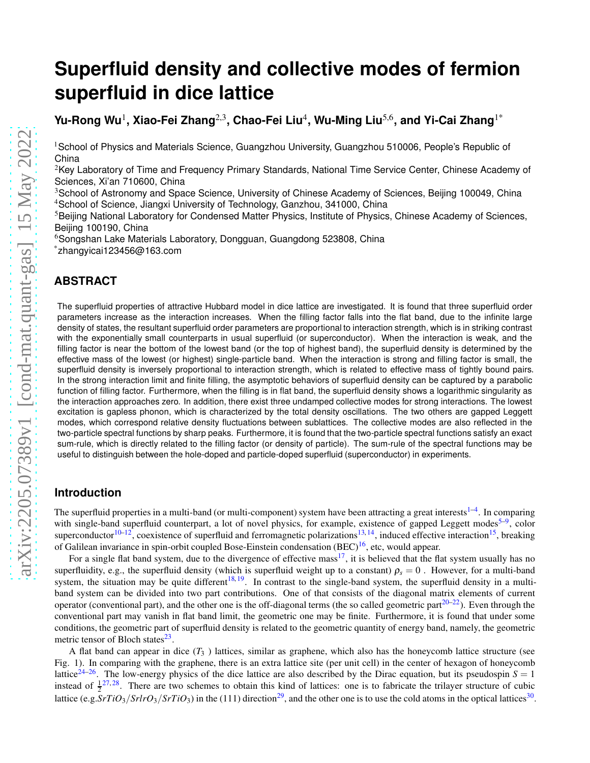# **Superfluid density and collective modes of fermion superfluid in dice lattice**

**Yu-Rong Wu**<sup>1</sup> **, Xiao-Fei Zhang**2,3**, Chao-Fei Liu**<sup>4</sup> **, Wu-Ming Liu**5,6**, and Yi-Cai Zhang**1\*

<sup>1</sup>School of Physics and Materials Science, Guangzhou University, Guangzhou 510006, People's Republic of China

<sup>2</sup>Key Laboratory of Time and Frequency Primary Standards, National Time Service Center, Chinese Academy of Sciences, Xi'an 710600, China

<sup>3</sup>School of Astronomy and Space Science, University of Chinese Academy of Sciences, Beijing 100049, China <sup>4</sup>School of Science, Jiangxi University of Technology, Ganzhou, 341000, China

<sup>5</sup>Beijing National Laboratory for Condensed Matter Physics, Institute of Physics, Chinese Academy of Sciences, Beijing 100190, China

<sup>6</sup>Songshan Lake Materials Laboratory, Dongguan, Guangdong 523808, China \*zhangyicai123456@163.com

# **ABSTRACT**

The superfluid properties of attractive Hubbard model in dice lattice are investigated. It is found that three superfluid order parameters increase as the interaction increases. When the filling factor falls into the flat band, due to the infinite large density of states, the resultant superfluid order parameters are proportional to interaction strength, which is in striking contrast with the exponentially small counterparts in usual superfluid (or superconductor). When the interaction is weak, and the filling factor is near the bottom of the lowest band (or the top of highest band), the superfluid density is determined by the effective mass of the lowest (or highest) single-particle band. When the interaction is strong and filling factor is small, the superfluid density is inversely proportional to interaction strength, which is related to effective mass of tightly bound pairs. In the strong interaction limit and finite filling, the asymptotic behaviors of superfluid density can be captured by a parabolic function of filling factor. Furthermore, when the filling is in flat band, the superfluid density shows a logarithmic singularity as the interaction approaches zero. In addition, there exist three undamped collective modes for strong interactions. The lowest excitation is gapless phonon, which is characterized by the total density oscillations. The two others are gapped Leggett modes, which correspond relative density fluctuations between sublattices. The collective modes are also reflected in the two-particle spectral functions by sharp peaks. Furthermore, it is found that the two-particle spectral functions satisfy an exact sum-rule, which is directly related to the filling factor (or density of particle). The sum-rule of the spectral functions may be useful to distinguish between the hole-doped and particle-doped superfluid (superconductor) in experiments.

# **Introduction**

The superfluid properties in a multi-band (or multi-component) system have been attracting a great interests $1-4$  $1-4$ . In comparing with single-band superfluid counterpart, a lot of novel physics, for example, existence of gapped Leggett modes<sup>[5–](#page-16-1)[9](#page-16-2)</sup>, color superconductor<sup>[10–](#page-16-3)[12](#page-16-4)</sup>, coexistence of superfluid and ferromagnetic polarizations<sup>[13,](#page-16-5)[14](#page-16-6)</sup>, induced effective interaction<sup>[15](#page-16-7)</sup>, breaking of Galilean invariance in spin-orbit coupled Bose-Einstein condensation (BEC)[16](#page-16-8), etc, would appear.

For a single flat band system, due to the divergence of effective mass<sup>[17](#page-16-9)</sup>, it is believed that the flat system usually has no superfluidity, e.g., the superfluid density (which is superfluid weight up to a constant)  $\rho_s = 0$ . However, for a multi-band system, the situation may be quite different<sup>[18,](#page-16-10)[19](#page-16-11)</sup>. In contrast to the single-band system, the superfluid density in a multiband system can be divided into two part contributions. One of that consists of the diagonal matrix elements of current operator (conventional part), and the other one is the off-diagonal terms (the so called geometric part $20-22$  $20-22$ ). Even through the conventional part may vanish in flat band limit, the geometric one may be finite. Furthermore, it is found that under some conditions, the geometric part of superfluid density is related to the geometric quantity of energy band, namely, the geometric metric tensor of Bloch states<sup>[23](#page-16-14)</sup>.

A flat band can appear in dice  $(T_3)$  lattices, similar as graphene, which also has the honeycomb lattice structure (see Fig. 1). In comparing with the graphene, there is an extra lattice site (per unit cell) in the center of hexagon of honeycomb lattice<sup>[24](#page-16-15)[–26](#page-17-0)</sup>. The low-energy physics of the dice lattice are also described by the Dirac equation, but its pseudospin  $S = 1$ instead of  $\frac{1}{2}^{27,28}$  $\frac{1}{2}^{27,28}$  $\frac{1}{2}^{27,28}$  $\frac{1}{2}^{27,28}$ . There are two schemes to obtain this kind of lattices: one is to fabricate the trilayer structure of cubic lattice (e.g.  $SrTiO_3/SrIrO_3/SrTiO_3$ ) in the (111) direction<sup>[29](#page-17-3)</sup>, and the other one is to use the cold atoms in the optical lattices<sup>[30](#page-17-4)</sup>.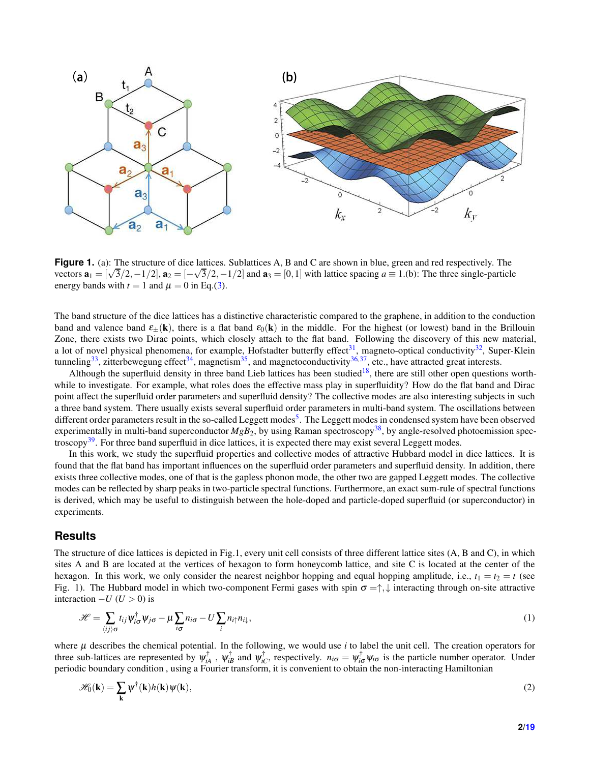<span id="page-1-0"></span>

**Figure 1.** (a): The structure of dice lattices. Sublattices A, B and C are shown in blue, green and red respectively. The vectors  $\mathbf{a}_1 = [\sqrt{3}/2, -1/2]$ ,  $\mathbf{a}_2 = [-\sqrt{3}/2, -1/2]$  and  $\mathbf{a}_3 = [0, 1]$  with lattice spacing  $a \equiv 1.$ (b): The three single-particle energy bands with  $t = 1$  and  $\mu = 0$  in Eq.[\(3\)](#page-2-0).

The band structure of the dice lattices has a distinctive characteristic compared to the graphene, in addition to the conduction band and valence band  $\varepsilon_{+}(\mathbf{k})$ , there is a flat band  $\varepsilon_{0}(\mathbf{k})$  in the middle. For the highest (or lowest) band in the Brillouin Zone, there exists two Dirac points, which closely attach to the flat band. Following the discovery of this new material, a lot of novel physical phenomena, for example, Hofstadter butterfly effect<sup>[31](#page-17-5)</sup>, magneto-optical conductivity<sup>[32](#page-17-6)</sup>, Super-Klein tunneling<sup>[33](#page-17-7)</sup>, zitterbewegung effect<sup>[34](#page-17-8)</sup>, magnetism<sup>[35](#page-17-9)</sup>, and magnetoconductivity<sup>[36,](#page-17-10)[37](#page-17-11)</sup>, etc., have attracted great interests.

Although the superfluid density in three band Lieb lattices has been studied<sup>[18](#page-16-10)</sup>, there are still other open questions worthwhile to investigate. For example, what roles does the effective mass play in superfluidity? How do the flat band and Dirac point affect the superfluid order parameters and superfluid density? The collective modes are also interesting subjects in such a three band system. There usually exists several superfluid order parameters in multi-band system. The oscillations between different order parameters result in the so-called Leggett modes<sup>[5](#page-16-1)</sup>. The Leggett modes in condensed system have been observed experimentally in multi-band superconductor  $Mg_{B_2}$ , by using Raman spectroscopy<sup>[38](#page-17-12)</sup>, by angle-resolved photoemission spec-troscopy<sup>[39](#page-17-13)</sup>. For three band superfluid in dice lattices, it is expected there may exist several Leggett modes.

In this work, we study the superfluid properties and collective modes of attractive Hubbard model in dice lattices. It is found that the flat band has important influences on the superfluid order parameters and superfluid density. In addition, there exists three collective modes, one of that is the gapless phonon mode, the other two are gapped Leggett modes. The collective modes can be reflected by sharp peaks in two-particle spectral functions. Furthermore, an exact sum-rule of spectral functions is derived, which may be useful to distinguish between the hole-doped and particle-doped superfluid (or superconductor) in experiments.

# **Results**

The structure of dice lattices is depicted in Fig.1, every unit cell consists of three different lattice sites (A, B and C), in which sites A and B are located at the vertices of hexagon to form honeycomb lattice, and site C is located at the center of the hexagon. In this work, we only consider the nearest neighbor hopping and equal hopping amplitude, i.e.,  $t_1 = t_2 = t$  (see Fig. 1). The Hubbard model in which two-component Fermi gases with spin  $\sigma = \uparrow, \downarrow$  interacting through on-site attractive interaction  $-U$  ( $U > 0$ ) is

<span id="page-1-1"></span>
$$
\mathcal{H} = \sum_{\langle ij \rangle \sigma} t_{ij} \psi_{i\sigma}^{\dagger} \psi_{j\sigma} - \mu \sum_{i\sigma} n_{i\sigma} - U \sum_{i} n_{i\uparrow} n_{i\downarrow}, \tag{1}
$$

where µ describes the chemical potential. In the following, we would use *i* to label the unit cell. The creation operators for three sub-lattices are represented by  $\psi_{iA}^{\dagger}$ ,  $\psi_{iB}^{\dagger}$  and  $\psi_{iC}^{\dagger}$ , respectively.  $n_{i\sigma} = \psi_{i\sigma}^{\dagger} \psi_{i\sigma}$  is the particle number operator. Under periodic boundary condition , using a Fourier transform, it is convenient to obtain the non-interacting Hamiltonian

$$
\mathscr{H}_0(\mathbf{k}) = \sum_{\mathbf{k}} \psi^{\dagger}(\mathbf{k}) h(\mathbf{k}) \psi(\mathbf{k}), \tag{2}
$$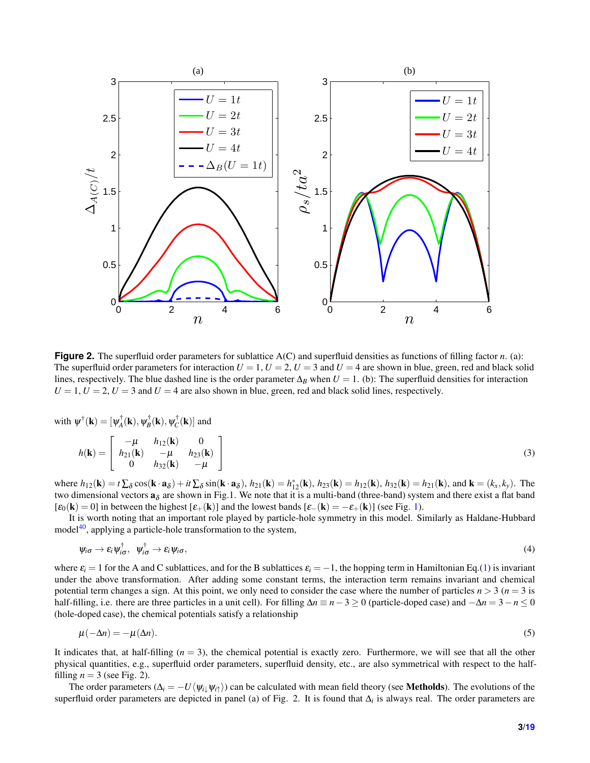<span id="page-2-1"></span>

**Figure 2.** The superfluid order parameters for sublattice A(C) and superfluid densities as functions of filling factor *n*. (a): The superfluid order parameters for interaction  $U = 1$ ,  $U = 2$ ,  $U = 3$  and  $U = 4$  are shown in blue, green, red and black solid lines, respectively. The blue dashed line is the order parameter  $\Delta_B$  when  $U = 1$ . (b): The superfluid densities for interaction  $U = 1$ ,  $U = 2$ ,  $U = 3$  and  $U = 4$  are also shown in blue, green, red and black solid lines, respectively.

with  $\psi^{\dagger}(\mathbf{k}) = [\psi_A^{\dagger}(\mathbf{k}), \psi_B^{\dagger}(\mathbf{k}), \psi_C^{\dagger}(\mathbf{k})]$  and

<span id="page-2-0"></span>
$$
h(\mathbf{k}) = \begin{bmatrix} -\mu & h_{12}(\mathbf{k}) & 0 \\ h_{21}(\mathbf{k}) & -\mu & h_{23}(\mathbf{k}) \\ 0 & h_{32}(\mathbf{k}) & -\mu \end{bmatrix}
$$
(3)

where  $h_{12}(\mathbf{k}) = t \sum_{\delta} \cos(\mathbf{k} \cdot \mathbf{a}_{\delta}) + it \sum_{\delta} \sin(\mathbf{k} \cdot \mathbf{a}_{\delta}), h_{21}(\mathbf{k}) = h_{12}^*(\mathbf{k}), h_{23}(\mathbf{k}) = h_{12}(\mathbf{k}), h_{32}(\mathbf{k}) = h_{21}(\mathbf{k}),$  and  $\mathbf{k} = (k_x, k_y)$ . The two dimensional vectors  $a_{\delta}$  are shown in Fig.1. We note that it is a multi-band (three-band) system and there exist a flat band  $[\epsilon_0(\mathbf{k}) = 0]$  in between the highest  $[\epsilon_+(\mathbf{k})]$  and the lowest bands  $[\epsilon_-(\mathbf{k}) = -\epsilon_+(\mathbf{k})]$  (see Fig. [1\)](#page-1-0).

It is worth noting that an important role played by particle-hole symmetry in this model. Similarly as Haldane-Hubbard model<sup>[40](#page-17-14)</sup>, applying a particle-hole transformation to the system,

$$
\psi_{i\sigma} \to \varepsilon_i \psi_{i\sigma}^\dagger, \quad \psi_{i\sigma}^\dagger \to \varepsilon_i \psi_{i\sigma}, \tag{4}
$$

where  $\varepsilon_i = 1$  for the A and C sublattices, and for the B sublattices  $\varepsilon_i = -1$ , the hopping term in Hamiltonian Eq.[\(1\)](#page-1-1) is invariant under the above transformation. After adding some constant terms, the interaction term remains invariant and chemical potential term changes a sign. At this point, we only need to consider the case where the number of particles  $n > 3$  ( $n = 3$  is half-filling, i.e. there are three particles in a unit cell). For filling ∆*n* ≡ *n*−3 ≥ 0 (particle-doped case) and −∆*n* = 3−*n* ≤ 0 (hole-doped case), the chemical potentials satisfy a relationship

$$
\mu(-\Delta n) = -\mu(\Delta n). \tag{5}
$$

It indicates that, at half-filling  $(n = 3)$ , the chemical potential is exactly zero. Furthermore, we will see that all the other physical quantities, e.g., superfluid order parameters, superfluid density, etc., are also symmetrical with respect to the halffilling  $n = 3$  (see Fig. 2).

The order parameters ( $\Delta_i = -U\langle \psi_i | \psi_i \rangle$ ) can be calculated with mean field theory (see **Metholds**). The evolutions of the superfluid order parameters are depicted in panel (a) of Fig. 2. It is found that  $\Delta_i$  is always real. The order parameters are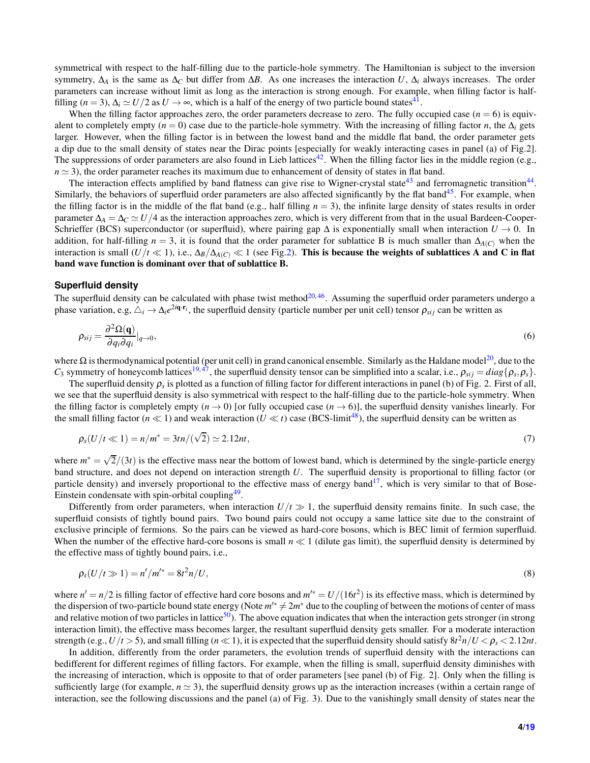symmetrical with respect to the half-filling due to the particle-hole symmetry. The Hamiltonian is subject to the inversion symmetry,  $\Delta_A$  is the same as  $\Delta_C$  but differ from  $\Delta B$ . As one increases the interaction *U*,  $\Delta_i$  always increases. The order parameters can increase without limit as long as the interaction is strong enough. For example, when filling factor is halffilling  $(n = 3)$ ,  $\Delta_i \simeq U/2$  as  $U \rightarrow \infty$ , which is a half of the energy of two particle bound states<sup>[41](#page-17-15)</sup>.

When the filling factor approaches zero, the order parameters decrease to zero. The fully occupied case  $(n = 6)$  is equivalent to completely empty ( $n = 0$ ) case due to the particle-hole symmetry. With the increasing of filling factor *n*, the  $\Delta_i$  gets larger. However, when the filling factor is in between the lowest band and the middle flat band, the order parameter gets a dip due to the small density of states near the Dirac points [especially for weakly interacting cases in panel (a) of Fig.2]. The suppressions of order parameters are also found in Lieb lattices<sup>[42](#page-17-16)</sup>. When the filling factor lies in the middle region (e.g.,  $n \approx 3$ ), the order parameter reaches its maximum due to enhancement of density of states in flat band.

The interaction effects amplified by band flatness can give rise to Wigner-crystal state<sup>[43](#page-17-17)</sup> and ferromagnetic transition<sup>[44](#page-17-18)</sup>. Similarly, the behaviors of superfluid order parameters are also affected significantly by the flat band $45$ . For example, when the filling factor is in the middle of the flat band (e.g., half filling  $n = 3$ ), the infinite large density of states results in order parameter  $\Delta_A = \Delta_C \simeq U/4$  as the interaction approaches zero, which is very different from that in the usual Bardeen-Cooper-Schrieffer (BCS) superconductor (or superfluid), where pairing gap  $\Delta$  is exponentially small when interaction  $U \to 0$ . In addition, for half-filling  $n = 3$ , it is found that the order parameter for sublattice B is much smaller than  $\Delta_{A(C)}$  when the interaction is small (*U*/*t* ≪ 1), i.e.,  $\Delta_B/\Delta_{A(C)} \ll 1$  (see Fig[.2\)](#page-2-1). This is because the weights of sublattices A and C in flat band wave function is dominant over that of sublattice B.

#### **Superfluid density**

The superfluid density can be calculated with phase twist method<sup>[20,](#page-16-12)[46](#page-17-20)</sup>. Assuming the superfluid order parameters undergo a phase variation, e.g,  $\Delta_i \to \Delta_i e^{2i\mathbf{q} \cdot \mathbf{r}_i}$ , the superfluid density (particle number per unit cell) tensor  $\rho_{sij}$  can be written as

$$
\rho_{sij} = \frac{\partial^2 \Omega(\mathbf{q})}{\partial q_i \partial q_i}|_{q \to 0},\tag{6}
$$

where  $\Omega$  is thermodynamical potential (per unit cell) in grand canonical ensemble. Similarly as the Haldane model<sup>[20](#page-16-12)</sup>, due to the *C*<sub>3</sub> symmetry of honeycomb lattices<sup>[19,](#page-16-11)[47](#page-17-21)</sup>, the superfluid density tensor can be simplified into a scalar, i.e.,  $\rho_{sij} = diag{\rho_s, \rho_s}$ .

The superfluid density  $\rho_s$  is plotted as a function of filling factor for different interactions in panel (b) of Fig. 2. First of all, we see that the superfluid density is also symmetrical with respect to the half-filling due to the particle-hole symmetry. When the filling factor is completely empty  $(n \to 0)$  [or fully occupied case  $(n \to 6)$ ], the superfluid density vanishes linearly. For the small filling factor ( $n \ll 1$ ) and weak interaction ( $U \ll t$ ) case (BCS-limit<sup>[48](#page-17-22)</sup>), the superfluid density can be written as

$$
\rho_s(U/t \ll 1) = n/m^* = 3tn/(\sqrt{2}) \simeq 2.12nt,\tag{7}
$$

where  $m^* = \sqrt{2}/(3t)$  is the effective mass near the bottom of lowest band, which is determined by the single-particle energy band structure, and does not depend on interaction strength *U*. The superfluid density is proportional to filling factor (or particle density) and inversely proportional to the effective mass of energy band<sup>[17](#page-16-9)</sup>, which is very similar to that of Bose-Einstein condensate with spin-orbital coupling<sup>[49](#page-18-1)</sup>.

Differently from order parameters, when interaction  $U/t \gg 1$ , the superfluid density remains finite. In such case, the superfluid consists of tightly bound pairs. Two bound pairs could not occupy a same lattice site due to the constraint of exclusive principle of fermions. So the pairs can be viewed as hard-core bosons, which is BEC limit of fermion superfluid. When the number of the effective hard-core bosons is small *n* ≪ 1 (dilute gas limit), the superfluid density is determined by the effective mass of tightly bound pairs, i.e.,

$$
\rho_s(U/t \gg 1) = n'/m'^* = 8t^2n/U,\tag{8}
$$

where  $n' = n/2$  is filling factor of effective hard core bosons and  $m'^* = U/(16t^2)$  is its effective mass, which is determined by the dispersion of two-particle bound state energy (Note  $m^* \neq 2m^*$  due to the coupling of between the motions of center of mass and relative motion of two particles in lattice<sup>[50](#page-18-2)</sup>). The above equation indicates that when the interaction gets stronger (in strong interaction limit), the effective mass becomes larger, the resultant superfluid density gets smaller. For a moderate interaction strength (e.g.,  $U/t > 5$ ), and small filling ( $n \ll 1$ ), it is expected that the superfluid density should satisfy  $8t^2n/U < \rho_s < 2.12nt$ .

In addition, differently from the order parameters, the evolution trends of superfluid density with the interactions can bedifferent for different regimes of filling factors. For example, when the filling is small, superfluid density diminishes with the increasing of interaction, which is opposite to that of order parameters [see panel (b) of Fig. 2]. Only when the filling is sufficiently large (for example,  $n \approx 3$ ), the superfluid density grows up as the interaction increases (within a certain range of interaction, see the following discussions and the panel (a) of Fig. 3). Due to the vanishingly small density of states near the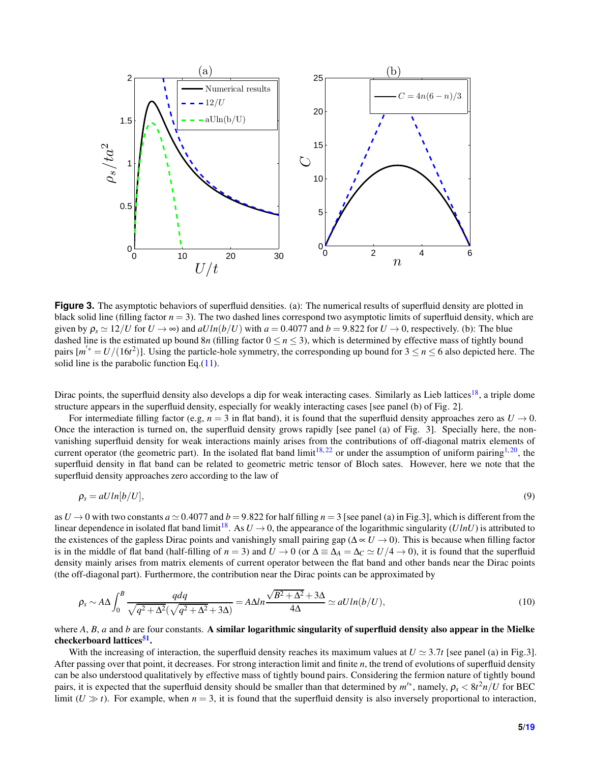

**Figure 3.** The asymptotic behaviors of superfluid densities. (a): The numerical results of superfluid density are plotted in black solid line (filling factor *n* = 3). The two dashed lines correspond two asymptotic limits of superfluid density, which are given by  $\rho_s \approx 12/U$  for  $U \rightarrow \infty$ ) and  $aU ln(b/U)$  with  $a = 0.4077$  and  $b = 9.822$  for  $U \rightarrow 0$ , respectively. (b): The blue dashed line is the estimated up bound  $8n$  (filling factor  $0 \le n \le 3$ ), which is determined by effective mass of tightly bound pairs  $[m^{'*} = U/(16t^2)]$ . Using the particle-hole symmetry, the corresponding up bound for  $3 \le n \le 6$  also depicted here. The solid line is the parabolic function Eq.[\(11\)](#page-5-0).

Dirac points, the superfluid density also develops a dip for weak interacting cases. Similarly as Lieb lattices<sup>[18](#page-16-10)</sup>, a triple dome structure appears in the superfluid density, especially for weakly interacting cases [see panel (b) of Fig. 2].

For intermediate filling factor (e.g,  $n = 3$  in flat band), it is found that the superfluid density approaches zero as  $U \rightarrow 0$ . Once the interaction is turned on, the superfluid density grows rapidly [see panel (a) of Fig. 3]. Specially here, the nonvanishing superfluid density for weak interactions mainly arises from the contributions of off-diagonal matrix elements of current operator (the geometric part). In the isolated flat band limit<sup>[18,](#page-16-10)[22](#page-16-13)</sup> or under the assumption of uniform pairing<sup>[1,](#page-15-0)[20](#page-16-12)</sup>, the superfluid density in flat band can be related to geometric metric tensor of Bloch sates. However, here we note that the superfluid density approaches zero according to the law of

$$
\rho_s = aUln[b/U],\tag{9}
$$

as  $U \rightarrow 0$  with two constants  $a \approx 0.4077$  and  $b = 9.822$  for half filling  $n = 3$  [see panel (a) in Fig.3], which is different from the linear dependence in isolated flat band limit<sup>[18](#page-16-10)</sup>. As  $U \rightarrow 0$ , the appearance of the logarithmic singularity (*UlnU*) is attributed to the existences of the gapless Dirac points and vanishingly small pairing gap (∆ ∝ *U* → 0). This is because when filling factor is in the middle of flat band (half-filling of  $n = 3$ ) and  $U \rightarrow 0$  (or  $\Delta \equiv \Delta_A = \Delta_C \simeq U/4 \rightarrow 0$ ), it is found that the superfluid density mainly arises from matrix elements of current operator between the flat band and other bands near the Dirac points (the off-diagonal part). Furthermore, the contribution near the Dirac points can be approximated by

$$
\rho_s \sim A\Delta \int_0^B \frac{qdq}{\sqrt{q^2 + \Delta^2}(\sqrt{q^2 + \Delta^2} + 3\Delta)} = A\Delta ln \frac{\sqrt{B^2 + \Delta^2} + 3\Delta}{4\Delta} \simeq aU ln(b/U),\tag{10}
$$

where *A*, *B*, *a* and *b* are four constants. A similar logarithmic singularity of superfluid density also appear in the Mielke checkerboard lattices<sup>[51](#page-18-3)</sup>.

With the increasing of interaction, the superfluid density reaches its maximum values at  $U \approx 3.7t$  [see panel (a) in Fig.3]. After passing over that point, it decreases. For strong interaction limit and finite *n*, the trend of evolutions of superfluid density can be also understood qualitatively by effective mass of tightly bound pairs. Considering the fermion nature of tightly bound pairs, it is expected that the superfluid density should be smaller than that determined by  $m'^*$ , namely,  $\rho_s < 8t^2n/U$  for BEC limit ( $U \gg t$ ). For example, when  $n = 3$ , it is found that the superfluid density is also inversely proportional to interaction,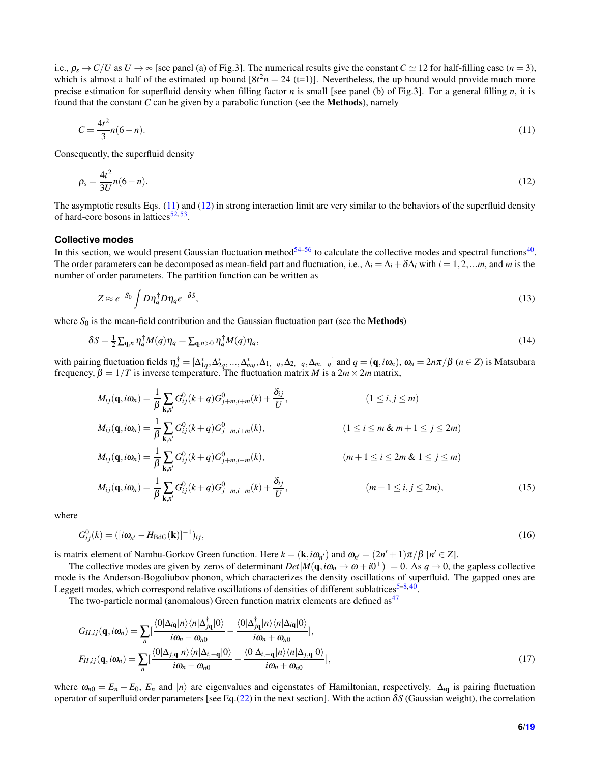i.e.,  $\rho_s \to C/U$  as  $U \to \infty$  [see panel (a) of Fig.3]. The numerical results give the constant  $C \simeq 12$  for half-filling case (*n* = 3), which is almost a half of the estimated up bound  $[8t^2n = 24(t=1)]$ . Nevertheless, the up bound would provide much more precise estimation for superfluid density when filling factor *n* is small [see panel (b) of Fig.3]. For a general filling *n*, it is found that the constant *C* can be given by a parabolic function (see the Methods), namely

<span id="page-5-0"></span>
$$
C = \frac{4t^2}{3}n(6-n). \tag{11}
$$

Consequently, the superfluid density

$$
\rho_s = \frac{4t^2}{3U}n(6-n). \tag{12}
$$

The asymptotic results Eqs. [\(11\)](#page-5-0) and [\(12\)](#page-5-1) in strong interaction limit are very similar to the behaviors of the superfluid density of hard-core bosons in lattices<sup>[52,](#page-18-4)[53](#page-18-5)</sup>.

#### **Collective modes**

In this section, we would present Gaussian fluctuation method  $54-56$  $54-56$  to calculate the collective modes and spectral functions  $40$ . The order parameters can be decomposed as mean-field part and fluctuation, i.e.,  $\Delta_i = \Delta_i + \delta \Delta_i$  with  $i = 1, 2, \dots, m$ , and *m* is the number of order parameters. The partition function can be written as

<span id="page-5-1"></span>
$$
Z \approx e^{-S_0} \int D\eta_q^{\dagger} D\eta_q e^{-\delta S},\tag{13}
$$

where  $S_0$  is the mean-field contribution and the Gaussian fluctuation part (see the **Methods**)

$$
\delta S = \frac{1}{2} \sum_{\mathbf{q},n} \eta_q^{\dagger} M(q) \eta_q = \sum_{\mathbf{q},n>0} \eta_q^{\dagger} M(q) \eta_q, \tag{14}
$$

with pairing fluctuation fields  $\eta_q^{\dagger} = [\Delta_{1q}^*, \Delta_{2q}^*, ..., \Delta_{mq}^*, \Delta_{1,-q}, \Delta_{2,-q}, \Delta_{m,-q}]$  and  $q = (\mathbf{q}, i\omega_n)$ ,  $\omega_n = 2n\pi/\beta$   $(n \in \mathbb{Z})$  is Matsubara frequency,  $β = 1/T$  is inverse temperature. The fluctuation matrix *M* is a  $2m \times 2m$  matrix,

$$
M_{ij}(\mathbf{q}, i\omega_n) = \frac{1}{\beta} \sum_{\mathbf{k}, n'} G_{ij}^0(k+q) G_{j+m,i+m}^0(k) + \frac{\delta_{ij}}{U},
$$
\n
$$
M_{ij}(\mathbf{q}, i\omega_n) = \frac{1}{\beta} \sum_{\mathbf{k}, n'} G_{ij}^0(k+q) G_{j-m,i+m}^0(k),
$$
\n
$$
M_{ij}(\mathbf{q}, i\omega_n) = \frac{1}{\beta} \sum_{\mathbf{k}, n'} G_{ij}^0(k+q) G_{j+m,i-m}^0(k),
$$
\n
$$
M_{ij}(\mathbf{q}, i\omega_n) = \frac{1}{\beta} \sum_{\mathbf{k}, n'} G_{ij}^0(k+q) G_{j+m,i-m}^0(k),
$$
\n
$$
m+1 \le i \le 2m \& 1 \le j \le m)
$$
\n
$$
M_{ij}(\mathbf{q}, i\omega_n) = \frac{1}{\beta} \sum_{\mathbf{k}, n'} G_{ij}^0(k+q) G_{j-m,i-m}^0(k) + \frac{\delta_{ij}}{U},
$$
\n
$$
(m+1 \le i, j \le 2m),
$$
\n(15)

where

$$
G_{ij}^0(k) = ([i\omega_{n'} - H_{\text{BdG}}(\mathbf{k})]^{-1})_{ij},\tag{16}
$$

is matrix element of Nambu-Gorkov Green function. Here  $k = (\mathbf{k}, i\omega_{n'})$  and  $\omega_{n'} = (2n' + 1)\pi/\beta$  [ $n' \in \mathbb{Z}$ ].

The collective modes are given by zeros of determinant  $Det|M(\mathbf{q}, i\omega_n \to \omega + i0^+)| = 0$ . As  $q \to 0$ , the gapless collective mode is the Anderson-Bogoliubov phonon, which characterizes the density oscillations of superfluid. The gapped ones are Leggett modes, which correspond relative oscillations of densities of different sublattices<sup>5-[8,](#page-16-16)[40](#page-17-14)</sup>.

The two-particle normal (anomalous) Green function matrix elements are defined as  $47$ 

$$
G_{II,ij}(\mathbf{q},i\omega_n) = \sum_n \left[\frac{\langle 0|\Delta_{i\mathbf{q}}|n\rangle\langle n|\Delta_{j\mathbf{q}}^{\dagger}|0\rangle}{i\omega_n - \omega_{n0}} - \frac{\langle 0|\Delta_{j\mathbf{q}}^{\dagger}|n\rangle\langle n|\Delta_{i\mathbf{q}}|0\rangle}{i\omega_n + \omega_{n0}}\right],
$$
  
\n
$$
F_{II,ij}(\mathbf{q},i\omega_n) = \sum_n \left[\frac{\langle 0|\Delta_{j,\mathbf{q}}|n\rangle\langle n|\Delta_{i,-\mathbf{q}}|0\rangle}{i\omega_n - \omega_{n0}} - \frac{\langle 0|\Delta_{i,-\mathbf{q}}|n\rangle\langle n|\Delta_{j,\mathbf{q}}|0\rangle}{i\omega_n + \omega_{n0}}\right],
$$
\n(17)

where  $\omega_{n0} = E_n - E_0$ ,  $E_n$  and  $|n\rangle$  are eigenvalues and eigenstates of Hamiltonian, respectively.  $\Delta_{i\mathbf{q}}$  is pairing fluctuation operator of superfluid order parameters [see Eq.[\(22\)](#page-6-0) in the next section]. With the action δ*S* (Gaussian weight), the correlation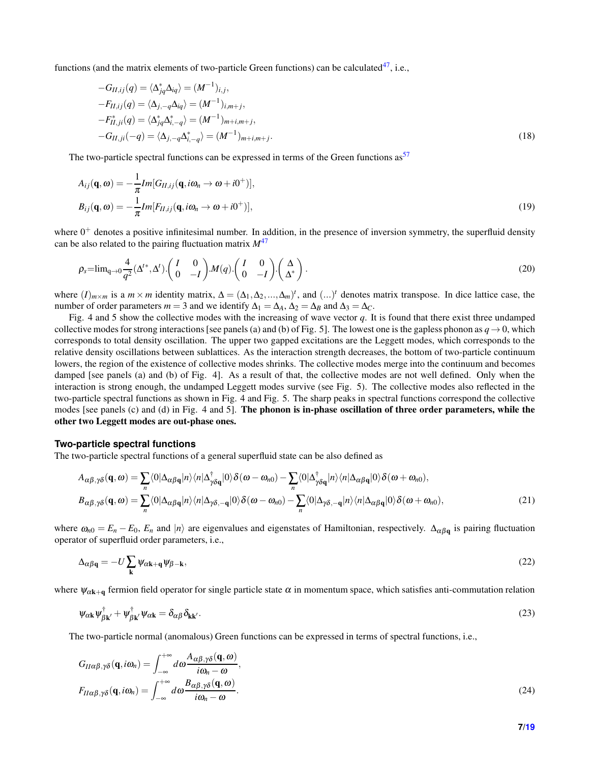functions (and the matrix elements of two-particle Green functions) can be calculated<sup>[47](#page-17-21)</sup>. i.e.,

<span id="page-6-1"></span>
$$
-G_{II,ij}(q) = \langle \Delta_{jq}^* \Delta_{iq} \rangle = (M^{-1})_{i,j},
$$
  
\n
$$
-F_{II,ij}(q) = \langle \Delta_{j,-q} \Delta_{iq} \rangle = (M^{-1})_{i,m+j},
$$
  
\n
$$
-F_{II,ji}^*(q) = \langle \Delta_{jq}^* \Delta_{i,-q}^* \rangle = (M^{-1})_{m+i,m+j},
$$
  
\n
$$
-G_{II,ji}(-q) = \langle \Delta_{j,-q} \Delta_{i,-q}^* \rangle = (M^{-1})_{m+i,m+j}.
$$
\n(18)

The two-particle spectral functions can be expressed in terms of the Green functions as  $57$ 

$$
A_{ij}(\mathbf{q},\omega) = -\frac{1}{\pi}Im[G_{II,ij}(\mathbf{q},i\omega_n \to \omega + i0^+)],
$$
  
\n
$$
B_{ij}(\mathbf{q},\omega) = -\frac{1}{\pi}Im[F_{II,ij}(\mathbf{q},i\omega_n \to \omega + i0^+)],
$$
\n(19)

where  $0^+$  denotes a positive infinitesimal number. In addition, in the presence of inversion symmetry, the superfluid density can be also related to the pairing fluctuation matrix *M*[47](#page-17-21)

$$
\rho_s = \lim_{q \to 0} \frac{4}{q^2} (\Delta^{t*}, \Delta^t) \cdot \begin{pmatrix} I & 0 \\ 0 & -I \end{pmatrix} . M(q) \cdot \begin{pmatrix} I & 0 \\ 0 & -I \end{pmatrix} \cdot \begin{pmatrix} \Delta \\ \Delta^* \end{pmatrix} . \tag{20}
$$

where  $(I)_{m \times m}$  is a  $m \times m$  identity matrix,  $\Delta = (\Delta_1, \Delta_2, ..., \Delta_m)^t$ , and  $(...)^t$  denotes matrix transpose. In dice lattice case, the number of order parameters  $m = 3$  and we identify  $\Delta_1 = \Delta_A$ ,  $\Delta_2 = \Delta_B$  and  $\Delta_3 = \Delta_C$ .

Fig. 4 and 5 show the collective modes with the increasing of wave vector *q*. It is found that there exist three undamped collective modes for strong interactions [see panels (a) and (b) of Fig. 5]. The lowest one is the gapless phonon as  $q \to 0$ , which corresponds to total density oscillation. The upper two gapped excitations are the Leggett modes, which corresponds to the relative density oscillations between sublattices. As the interaction strength decreases, the bottom of two-particle continuum lowers, the region of the existence of collective modes shrinks. The collective modes merge into the continuum and becomes damped [see panels (a) and (b) of Fig. 4]. As a result of that, the collective modes are not well defined. Only when the interaction is strong enough, the undamped Leggett modes survive (see Fig. 5). The collective modes also reflected in the two-particle spectral functions as shown in Fig. 4 and Fig. 5. The sharp peaks in spectral functions correspond the collective modes [see panels (c) and (d) in Fig. 4 and 5]. The phonon is in-phase oscillation of three order parameters, while the other two Leggett modes are out-phase ones.

#### **Two-particle spectral functions**

The two-particle spectral functions of a general superfluid state can be also defined as

<span id="page-6-2"></span>
$$
A_{\alpha\beta,\gamma\delta}(\mathbf{q},\omega) = \sum_{n} \langle 0 | \Delta_{\alpha\beta\mathbf{q}} | n \rangle \langle n | \Delta_{\gamma\delta\mathbf{q}}^{\dagger} | 0 \rangle \delta(\omega - \omega_{n0}) - \sum_{n} \langle 0 | \Delta_{\gamma\delta\mathbf{q}}^{\dagger} | n \rangle \langle n | \Delta_{\alpha\beta\mathbf{q}} | 0 \rangle \delta(\omega + \omega_{n0}),
$$
  
\n
$$
B_{\alpha\beta,\gamma\delta}(\mathbf{q},\omega) = \sum_{n} \langle 0 | \Delta_{\alpha\beta\mathbf{q}} | n \rangle \langle n | \Delta_{\gamma\delta,-\mathbf{q}} | 0 \rangle \delta(\omega - \omega_{n0}) - \sum_{n} \langle 0 | \Delta_{\gamma\delta,-\mathbf{q}} | n \rangle \langle n | \Delta_{\alpha\beta\mathbf{q}} | 0 \rangle \delta(\omega + \omega_{n0}),
$$
\n(21)

where  $\omega_{n0} = E_n - E_0$ ,  $E_n$  and  $|n\rangle$  are eigenvalues and eigenstates of Hamiltonian, respectively.  $\Delta_{\alpha\beta q}$  is pairing fluctuation operator of superfluid order parameters, i.e.,

<span id="page-6-0"></span>
$$
\Delta_{\alpha\beta\mathbf{q}} = -U\sum_{\mathbf{k}} \psi_{\alpha\mathbf{k}+\mathbf{q}} \psi_{\beta-\mathbf{k}},\tag{22}
$$

where  $\psi_{\alpha k+q}$  fermion field operator for single particle state  $\alpha$  in momentum space, which satisfies anti-commutation relation

$$
\psi_{\alpha\mathbf{k}}\psi_{\beta\mathbf{k}'}^{\dagger} + \psi_{\beta\mathbf{k}'}^{\dagger}\psi_{\alpha\mathbf{k}} = \delta_{\alpha\beta}\delta_{\mathbf{k}\mathbf{k}'}.
$$
\n(23)

The two-particle normal (anomalous) Green functions can be expressed in terms of spectral functions, i.e.,

$$
G_{II\alpha\beta,\gamma\delta}(\mathbf{q},i\omega_n) = \int_{-\infty}^{+\infty} d\omega \frac{A_{\alpha\beta,\gamma\delta}(\mathbf{q},\omega)}{i\omega_n - \omega},
$$
  
\n
$$
F_{II\alpha\beta,\gamma\delta}(\mathbf{q},i\omega_n) = \int_{-\infty}^{+\infty} d\omega \frac{B_{\alpha\beta,\gamma\delta}(\mathbf{q},\omega)}{i\omega_n - \omega}.
$$
\n(24)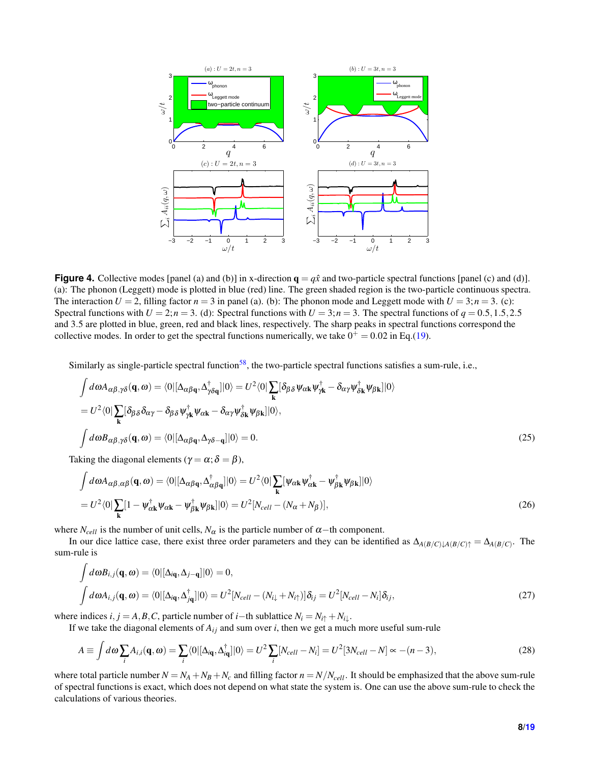

**Figure 4.** Collective modes [panel (a) and (b)] in x-direction  $q = q\hat{x}$  and two-particle spectral functions [panel (c) and (d)]. (a): The phonon (Leggett) mode is plotted in blue (red) line. The green shaded region is the two-particle continuous spectra. The interaction  $U = 2$ , filling factor  $n = 3$  in panel (a). (b): The phonon mode and Leggett mode with  $U = 3$ ;  $n = 3$ . (c): Spectral functions with  $U = 2; n = 3$ . (d): Spectral functions with  $U = 3; n = 3$ . The spectral functions of  $q = 0.5, 1.5, 2.5$ and 3.5 are plotted in blue, green, red and black lines, respectively. The sharp peaks in spectral functions correspond the collective modes. In order to get the spectral functions numerically, we take  $0^+ = 0.02$  in Eq.[\(19\)](#page-6-1).

Similarly as single-particle spectral function<sup>[58](#page-18-9)</sup>, the two-particle spectral functions satisfies a sum-rule, i.e.,

$$
\int d\omega A_{\alpha\beta,\gamma\delta}(\mathbf{q},\omega) = \langle 0 | [\Delta_{\alpha\beta\mathbf{q}}, \Delta_{\gamma\delta\mathbf{q}}^{\dagger}] | 0 \rangle = U^2 \langle 0 | \sum_{\mathbf{k}} [\delta_{\beta\delta} \psi_{\alpha\mathbf{k}} \psi_{\gamma\mathbf{k}}^{\dagger} - \delta_{\alpha\gamma} \psi_{\delta\mathbf{k}}^{\dagger} \psi_{\beta\mathbf{k}}] | 0 \rangle
$$
  
\n
$$
= U^2 \langle 0 | \sum_{\mathbf{k}} [\delta_{\beta\delta} \delta_{\alpha\gamma} - \delta_{\beta\delta} \psi_{\gamma\mathbf{k}}^{\dagger} \psi_{\alpha\mathbf{k}} - \delta_{\alpha\gamma} \psi_{\delta\mathbf{k}}^{\dagger} \psi_{\beta\mathbf{k}}] | 0 \rangle,
$$
  
\n
$$
\int d\omega B_{\alpha\beta,\gamma\delta}(\mathbf{q},\omega) = \langle 0 | [\Delta_{\alpha\beta\mathbf{q}}, \Delta_{\gamma\delta-\mathbf{q}}] | 0 \rangle = 0.
$$
 (25)

Taking the diagonal elements ( $\gamma = \alpha$ ;  $\delta = \beta$ ),

$$
\int d\omega A_{\alpha\beta,\alpha\beta}(\mathbf{q},\omega) = \langle 0 | [\Delta_{\alpha\beta\mathbf{q}}, \Delta_{\alpha\beta\mathbf{q}}^{\dagger}] | 0 \rangle = U^2 \langle 0 | \sum_{\mathbf{k}} [\psi_{\alpha\mathbf{k}} \psi_{\alpha\mathbf{k}}^{\dagger} - \psi_{\beta\mathbf{k}}^{\dagger} \psi_{\beta\mathbf{k}}] | 0 \rangle
$$
  
=  $U^2 \langle 0 | \sum_{\mathbf{k}} [1 - \psi_{\alpha\mathbf{k}}^{\dagger} \psi_{\alpha\mathbf{k}} - \psi_{\beta\mathbf{k}}^{\dagger} \psi_{\beta\mathbf{k}}] | 0 \rangle = U^2 [N_{cell} - (N_{\alpha} + N_{\beta})],$  (26)

where  $N_{cell}$  is the number of unit cells,  $N_{\alpha}$  is the particle number of  $\alpha$ −th component.

In our dice lattice case, there exist three order parameters and they can be identified as  $\Delta_{A(B/C)\downarrow A(B/C)\uparrow} = \Delta_{A(B/C)}$ . The sum-rule is

$$
\int d\omega B_{i,j}(\mathbf{q},\omega) = \langle 0 | [\Delta_{i\mathbf{q}}, \Delta_{j-\mathbf{q}}] | 0 \rangle = 0,
$$
\n
$$
\int d\omega A_{i,j}(\mathbf{q},\omega) = \langle 0 | [\Delta_{i\mathbf{q}}, \Delta_{j\mathbf{q}}^{\dagger}] | 0 \rangle = U^2 [N_{cell} - (N_{i\downarrow} + N_{i\uparrow})] \delta_{ij} = U^2 [N_{cell} - N_i] \delta_{ij},
$$
\n(27)

where indices *i*, *j* = *A*,*B*,*C*, particle number of *i*−th sublattice  $N_i = N_i \uparrow + N_i \downarrow$ .

If we take the diagonal elements of  $A_{ij}$  and sum over *i*, then we get a much more useful sum-rule

<span id="page-7-0"></span>
$$
A \equiv \int d\omega \sum_{i} A_{i,i}(\mathbf{q}, \omega) = \sum_{i} \langle 0 | [\Delta_{i\mathbf{q}}, \Delta_{i\mathbf{q}}^{\dagger}] | 0 \rangle = U^2 \sum_{i} [N_{cell} - N_i] = U^2 [3N_{cell} - N] \approx -(n-3), \tag{28}
$$

where total particle number  $N = N_A + N_B + N_c$  and filling factor  $n = N/N_{cell}$ . It should be emphasized that the above sum-rule of spectral functions is exact, which does not depend on what state the system is. One can use the above sum-rule to check the calculations of various theories.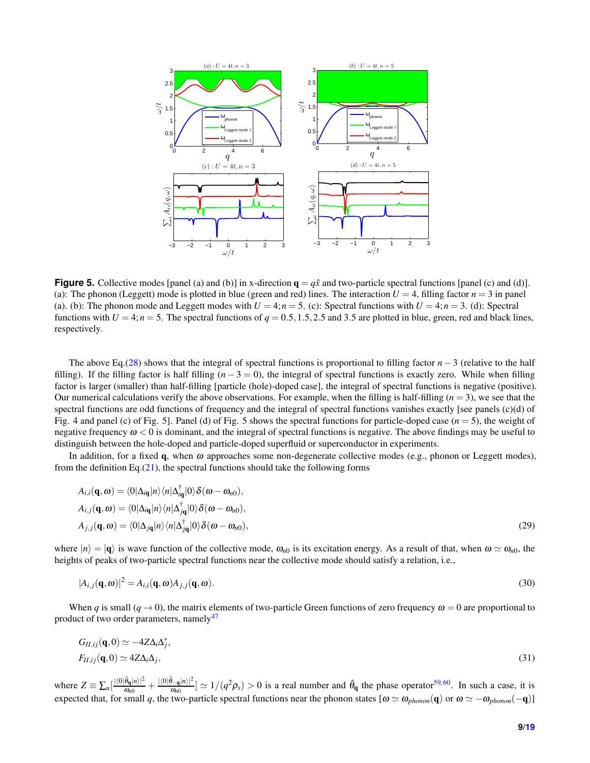

**Figure 5.** Collective modes [panel (a) and (b)] in x-direction  $q = q\hat{x}$  and two-particle spectral functions [panel (c) and (d)]. (a): The phonon (Leggett) mode is plotted in blue (green and red) lines. The interaction  $U = 4$ , filling factor  $n = 3$  in panel (a). (b): The phonon mode and Leggett modes with  $U = 4; n = 5$ . (c): Spectral functions with  $U = 4; n = 3$ . (d): Spectral functions with  $U = 4; n = 5$ . The spectral functions of  $q = 0.5, 1.5, 2.5$  and 3.5 are plotted in blue, green, red and black lines, respectively.

The above Eq.[\(28\)](#page-7-0) shows that the integral of spectral functions is proportional to filling factor *n* − 3 (relative to the half filling). If the filling factor is half filling  $(n - 3 = 0)$ , the integral of spectral functions is exactly zero. While when filling factor is larger (smaller) than half-filling [particle (hole)-doped case], the integral of spectral functions is negative (positive). Our numerical calculations verify the above observations. For example, when the filling is half-filling  $(n = 3)$ , we see that the spectral functions are odd functions of frequency and the integral of spectral functions vanishes exactly [see panels (c)(d) of Fig. 4 and panel (c) of Fig. 5]. Panel (d) of Fig. 5 shows the spectral functions for particle-doped case (*n* = 5), the weight of negative frequency  $\omega < 0$  is dominant, and the integral of spectral functions is negative. The above findings may be useful to distinguish between the hole-doped and particle-doped superfluid or superconductor in experiments.

In addition, for a fixed q, when  $\omega$  approaches some non-degenerate collective modes (e.g., phonon or Leggett modes), from the definition Eq. $(21)$ , the spectral functions should take the following forms

$$
A_{i,i}(\mathbf{q},\omega) = \langle 0 | \Delta_{i\mathbf{q}} | n \rangle \langle n | \Delta_{i\mathbf{q}}^{\dagger} | 0 \rangle \delta(\omega - \omega_{n0}),
$$
  
\n
$$
A_{i,j}(\mathbf{q},\omega) = \langle 0 | \Delta_{i\mathbf{q}} | n \rangle \langle n | \Delta_{j\mathbf{q}}^{\dagger} | 0 \rangle \delta(\omega - \omega_{n0}),
$$
  
\n
$$
A_{j,j}(\mathbf{q},\omega) = \langle 0 | \Delta_{j\mathbf{q}} | n \rangle \langle n | \Delta_{j\mathbf{q}}^{\dagger} | 0 \rangle \delta(\omega - \omega_{n0}),
$$
\n(29)

where  $|n\rangle = |\mathbf{q}\rangle$  is wave function of the collective mode,  $\omega_{n0}$  is its excitation energy. As a result of that, when  $\omega \simeq \omega_{n0}$ , the heights of peaks of two-particle spectral functions near the collective mode should satisfy a relation, i.e.,

<span id="page-8-0"></span>
$$
|A_{i,j}(\mathbf{q},\omega)|^2 = A_{i,i}(\mathbf{q},\omega)A_{j,j}(\mathbf{q},\omega).
$$
\n(30)

When *q* is small  $(q \to 0)$ , the matrix elements of two-particle Green functions of zero frequency  $\omega = 0$  are proportional to product of two order parameters, namely<sup>[47](#page-17-21)</sup>

$$
G_{II,ij}(\mathbf{q},0) \simeq -4Z\Delta_i\Delta_j^*,
$$
  
\n
$$
F_{II,ij}(\mathbf{q},0) \simeq 4Z\Delta_i\Delta_j,
$$
\n(31)

where  $Z = \sum_n \left[\frac{|\langle 0|\hat{\theta}_{\mathbf{q}}|n\rangle|^2}{\omega_{n0}} + \frac{|\langle 0|\hat{\theta}_{-\mathbf{q}}|n\rangle|^2}{\omega_{n0}}\right] \simeq 1/(q^2 \rho_s) > 0$  is a real number and  $\hat{\theta}_{\mathbf{q}}$  the phase operator<sup>[59,](#page-18-10)[60](#page-18-11)</sup>. In such a case, it is expected that, for small *q*, the two-particle spectral functions near the phonon states  $[\omega \simeq \omega_{phonon}(q)$  or  $\omega \simeq -\omega_{phonon}(-q)$ ]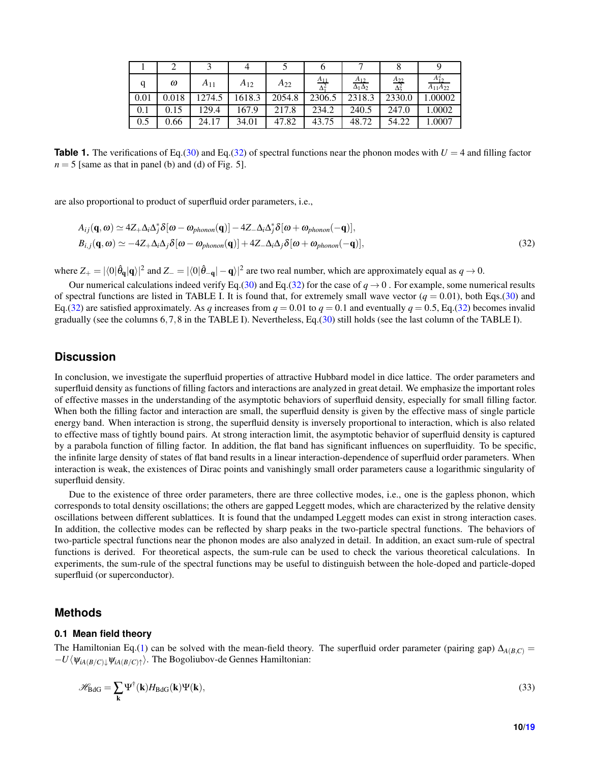<span id="page-9-0"></span>

|      | ω     | $A_{11}$ | $A_{12}$ | $A_{22}$ | $A_{11}$ | $\frac{A_{12}}{\Delta_1 \Delta_2}$ | $A_{22}$<br>Δ₹ | $A_{12}^{\omega}$<br>$A_{11}A_{22}$ |
|------|-------|----------|----------|----------|----------|------------------------------------|----------------|-------------------------------------|
| 0.01 | 0.018 | 1274.5   | 1618.3   | 2054.8   | 2306.5   | 2318.3                             | 2330.0         | 1.00002                             |
| 0.1  | 0.15  | 129.4    | 167.9    | 217.8    | 234.2    | 240.5                              | 247.0          | .0002                               |
| 0.5  | 0.66  | 24.17    | 34.01    | 47.82    | 43.75    | 48.72                              | 54.22          | .0007                               |

**Table 1.** The verifications of Eq.[\(30\)](#page-8-0) and Eq.[\(32\)](#page-9-0) of spectral functions near the phonon modes with  $U = 4$  and filling factor  $n = 5$  [same as that in panel (b) and (d) of Fig. 5].

are also proportional to product of superfluid order parameters, i.e.,

$$
A_{ij}(\mathbf{q},\omega) \simeq 4Z_{+}\Delta_{i}\Delta_{j}^{*}\delta[\omega-\omega_{phonon}(\mathbf{q})] - 4Z_{-}\Delta_{i}\Delta_{j}^{*}\delta[\omega+\omega_{phonon}(-\mathbf{q})],
$$
  
\n
$$
B_{i,j}(\mathbf{q},\omega) \simeq -4Z_{+}\Delta_{i}\Delta_{j}\delta[\omega-\omega_{phonon}(\mathbf{q})] + 4Z_{-}\Delta_{i}\Delta_{j}\delta[\omega+\omega_{phonon}(-\mathbf{q})],
$$
\n(32)

where  $Z_+ = |\langle 0|\hat{\theta}_\mathbf{q}|\mathbf{q}\rangle|^2$  and  $Z_- = |\langle 0|\hat{\theta}_-\mathbf{q}|- \mathbf{q}\rangle|^2$  are two real number, which are approximately equal as  $q \to 0$ .

Our numerical calculations indeed verify Eq.[\(30\)](#page-8-0) and Eq.[\(32\)](#page-9-0) for the case of  $q \to 0$ . For example, some numerical results of spectral functions are listed in TABLE I. It is found that, for extremely small wave vector  $(q = 0.01)$ , both Eqs.[\(30\)](#page-8-0) and Eq.[\(32\)](#page-9-0) are satisfied approximately. As *q* increases from  $q = 0.01$  to  $q = 0.1$  and eventually  $q = 0.5$ , Eq.(32) becomes invalid gradually (see the columns 6,7,8 in the TABLE I). Nevertheless, Eq.[\(30\)](#page-8-0) still holds (see the last column of the TABLE I).

## **Discussion**

In conclusion, we investigate the superfluid properties of attractive Hubbard model in dice lattice. The order parameters and superfluid density as functions of filling factors and interactions are analyzed in great detail. We emphasize the important roles of effective masses in the understanding of the asymptotic behaviors of superfluid density, especially for small filling factor. When both the filling factor and interaction are small, the superfluid density is given by the effective mass of single particle energy band. When interaction is strong, the superfluid density is inversely proportional to interaction, which is also related to effective mass of tightly bound pairs. At strong interaction limit, the asymptotic behavior of superfluid density is captured by a parabola function of filling factor. In addition, the flat band has significant influences on superfluidity. To be specific, the infinite large density of states of flat band results in a linear interaction-dependence of superfluid order parameters. When interaction is weak, the existences of Dirac points and vanishingly small order parameters cause a logarithmic singularity of superfluid density.

Due to the existence of three order parameters, there are three collective modes, i.e., one is the gapless phonon, which corresponds to total density oscillations; the others are gapped Leggett modes, which are characterized by the relative density oscillations between different sublattices. It is found that the undamped Leggett modes can exist in strong interaction cases. In addition, the collective modes can be reflected by sharp peaks in the two-particle spectral functions. The behaviors of two-particle spectral functions near the phonon modes are also analyzed in detail. In addition, an exact sum-rule of spectral functions is derived. For theoretical aspects, the sum-rule can be used to check the various theoretical calculations. In experiments, the sum-rule of the spectral functions may be useful to distinguish between the hole-doped and particle-doped superfluid (or superconductor).

#### **Methods**

#### **0.1 Mean field theory**

The Hamiltonian Eq.[\(1\)](#page-1-1) can be solved with the mean-field theory. The superfluid order parameter (pairing gap)  $\Delta_{A(B,C)}$  =  $-U\langle\Psi_{iA(B/C)\downarrow}\Psi_{iA(B/C)\uparrow}\rangle$ . The Bogoliubov-de Gennes Hamiltonian:

$$
\mathcal{H}_{\text{BdG}} = \sum_{\mathbf{k}} \Psi^{\dagger}(\mathbf{k}) H_{\text{BdG}}(\mathbf{k}) \Psi(\mathbf{k}), \tag{33}
$$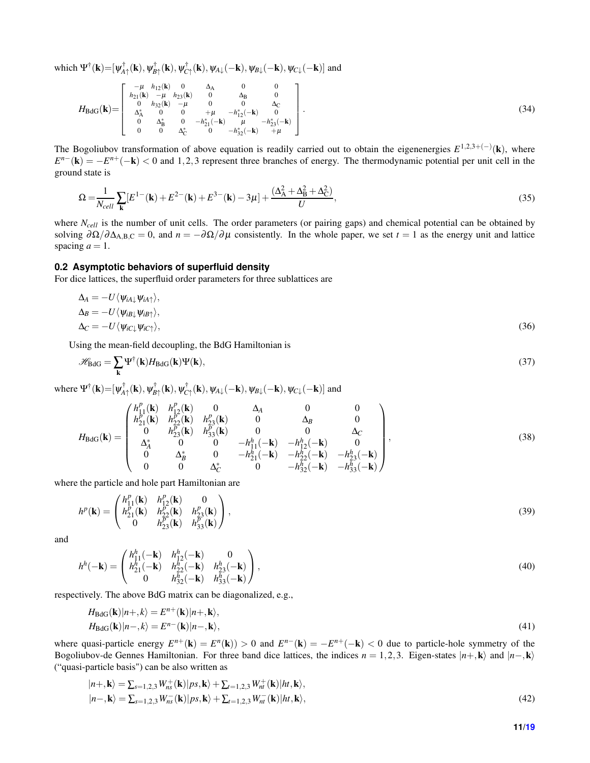which  $\Psi^{\dagger}(\mathbf{k}) = [\psi^{\dagger}_{A\uparrow}(\mathbf{k}), \psi^{\dagger}_{B\uparrow}(\mathbf{k}), \psi^{\dagger}_{C\uparrow}(\mathbf{k}), \psi_{A\downarrow}(-\mathbf{k}), \psi_{B\downarrow}(-\mathbf{k}), \psi_{C\downarrow}(-\mathbf{k})]$  and

$$
H_{\rm BdG}(\mathbf{k}) = \begin{bmatrix} -\mu & h_{12}(\mathbf{k}) & 0 & \Delta_{\rm A} & 0 & 0 \\ h_{21}(\mathbf{k}) & -\mu & h_{23}(\mathbf{k}) & 0 & \Delta_{\rm B} & 0 \\ 0 & h_{32}(\mathbf{k}) & -\mu & 0 & 0 & \Delta_{\rm C} \\ \Delta_{\rm A}^* & 0 & 0 & +\mu & -h_{12}^*(-\mathbf{k}) & 0 \\ 0 & \Delta_{\rm B}^* & 0 & -h_{21}^*(-\mathbf{k}) & \mu & -h_{23}^*(-\mathbf{k}) \\ 0 & 0 & \Delta_{\rm C}^* & 0 & -h_{32}^*(-\mathbf{k}) & +\mu \end{bmatrix}.
$$
 (34)

The Bogoliubov transformation of above equation is readily carried out to obtain the eigenenergies  $E^{1,2,3+(-)}(\mathbf{k})$ , where  $E^{n-}(\mathbf{k}) = -E^{n+}(-\mathbf{k}) < 0$  and 1,2,3 represent three branches of energy. The thermodynamic potential per unit cell in the ground state is

$$
\Omega = \frac{1}{N_{cell}} \sum_{\mathbf{k}} [E^{1-}(\mathbf{k}) + E^{2-}(\mathbf{k}) + E^{3-}(\mathbf{k}) - 3\mu] + \frac{(\Delta_A^2 + \Delta_B^2 + \Delta_C^2)}{U},\tag{35}
$$

where *N<sub>cell</sub>* is the number of unit cells. The order parameters (or pairing gaps) and chemical potential can be obtained by solving  $\partial\Omega/\partial\Delta_{A,B,C} = 0$ , and  $n = -\partial\Omega/\partial\mu$  consistently. In the whole paper, we set  $t = 1$  as the energy unit and lattice spacing  $a = 1$ .

### **0.2 Asymptotic behaviors of superfluid density**

For dice lattices, the superfluid order parameters for three sublattices are

$$
\Delta_A = -U \langle \psi_{iA\downarrow} \psi_{iA\uparrow} \rangle, \n\Delta_B = -U \langle \psi_{iB\downarrow} \psi_{iB\uparrow} \rangle, \n\Delta_C = -U \langle \psi_{iC\downarrow} \psi_{iC\uparrow} \rangle,
$$
\n(36)

Using the mean-field decoupling, the BdG Hamiltonian is

$$
\mathcal{H}_{\text{BdG}} = \sum_{\mathbf{k}} \Psi^{\dagger}(\mathbf{k}) H_{\text{BdG}}(\mathbf{k}) \Psi(\mathbf{k}), \tag{37}
$$

where  $\Psi^{\dagger}(\mathbf{k}) = [\psi^{\dagger}_{A\uparrow}(\mathbf{k}), \psi^{\dagger}_{B\uparrow}(\mathbf{k}), \psi^{\dagger}_{C\uparrow}(\mathbf{k}), \psi_{A\downarrow}(-\mathbf{k}), \psi_{B\downarrow}(-\mathbf{k}), \psi_{C\downarrow}(-\mathbf{k})]$  and

$$
H_{\rm BdG}(\mathbf{k}) = \begin{pmatrix} h_{11}^p(\mathbf{k}) & h_{12}^p(\mathbf{k}) & 0 & \Delta_A & 0 & 0 \\ h_{21}^p(\mathbf{k}) & h_{22}^p(\mathbf{k}) & h_{23}^p(\mathbf{k}) & 0 & \Delta_B & 0 \\ 0 & h_{23}^p(\mathbf{k}) & h_{33}^p(\mathbf{k}) & 0 & 0 & \Delta_C \\ \Delta_A^* & 0 & 0 & -h_{11}^h(-\mathbf{k}) & -h_{12}^h(-\mathbf{k}) & 0 \\ 0 & \Delta_B^* & 0 & -h_{21}^h(-\mathbf{k}) & -h_{22}^h(-\mathbf{k}) & -h_{23}^h(-\mathbf{k}) \\ 0 & 0 & \Delta_C^* & 0 & -h_{32}^h(-\mathbf{k}) & -h_{33}^h(-\mathbf{k}) \end{pmatrix},
$$
\n(38)

where the particle and hole part Hamiltonian are

$$
h^{p}(\mathbf{k}) = \begin{pmatrix} h_{11}^{p}(\mathbf{k}) & h_{12}^{p}(\mathbf{k}) & 0\\ h_{21}^{p}(\mathbf{k}) & h_{22}^{p}(\mathbf{k}) & h_{23}^{p}(\mathbf{k})\\ 0 & h_{23}^{p}(\mathbf{k}) & h_{33}^{p}(\mathbf{k}) \end{pmatrix},
$$
\n(39)

and

$$
h^{h}(-\mathbf{k}) = \begin{pmatrix} h_{11}^{h}(-\mathbf{k}) & h_{12}^{h}(-\mathbf{k}) & 0\\ h_{21}^{h}(-\mathbf{k}) & h_{22}^{h}(-\mathbf{k}) & h_{23}^{h}(-\mathbf{k})\\ 0 & h_{32}^{h}(-\mathbf{k}) & h_{33}^{h}(-\mathbf{k}) \end{pmatrix},
$$
\n(40)

respectively. The above BdG matrix can be diagonalized, e.g.,

$$
H_{\text{BdG}}(\mathbf{k})|n+,k\rangle = E^{n+}(\mathbf{k})|n+,\mathbf{k}\rangle, H_{\text{BdG}}(\mathbf{k})|n-,k\rangle = E^{n-}(\mathbf{k})|n-,\mathbf{k}\rangle,
$$
\n(41)

where quasi-particle energy  $E^{n+}(\mathbf{k}) = E^{n}(\mathbf{k}) > 0$  and  $E^{n-}(\mathbf{k}) = -E^{n+}(-\mathbf{k}) < 0$  due to particle-hole symmetry of the Bogoliubov-de Gennes Hamiltonian. For three band dice lattices, the indices  $n = 1,2,3$ . Eigen-states  $|n+\mathbf{k}\rangle$  and  $|n-\mathbf{k}\rangle$ ("quasi-particle basis") can be also written as

$$
|n+\mathbf{k}\rangle = \sum_{s=1,2,3} W_{ns}^{+}(\mathbf{k})|ps,\mathbf{k}\rangle + \sum_{t=1,2,3} W_{nt}^{+}(\mathbf{k})|ht,\mathbf{k}\rangle, |n-\mathbf{k}\rangle = \sum_{s=1,2,3} W_{ns}^{-}(\mathbf{k})|ps,\mathbf{k}\rangle + \sum_{t=1,2,3} W_{nt}^{-}(\mathbf{k})|ht,\mathbf{k}\rangle,
$$
\n(42)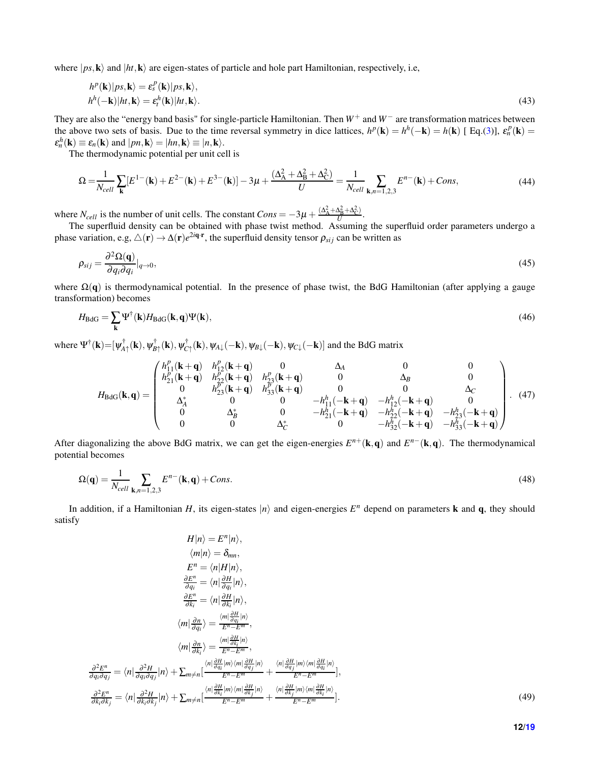where  $|p_s, \mathbf{k}\rangle$  and  $|h_t, \mathbf{k}\rangle$  are eigen-states of particle and hole part Hamiltonian, respectively, i.e,

$$
h^{p}(\mathbf{k})|ps,\mathbf{k}\rangle = \varepsilon_{s}^{p}(\mathbf{k})|ps,\mathbf{k}\rangle, h^{h}(-\mathbf{k})|ht,\mathbf{k}\rangle = \varepsilon_{t}^{h}(\mathbf{k})|ht,\mathbf{k}\rangle.
$$
 (43)

They are also the "energy band basis" for single-particle Hamiltonian. Then *W*<sup>+</sup> and *W*<sup>−</sup> are transformation matrices between the above two sets of basis. Due to the time reversal symmetry in dice lattices,  $h^p(\mathbf{k}) = h^h(-\mathbf{k}) = h(\mathbf{k})$  [Eq.[\(3\)](#page-2-0)],  $\varepsilon_n^p(\mathbf{k}) =$  $\varepsilon_n^h(\mathbf{k}) \equiv \varepsilon_n(\mathbf{k})$  and  $|pn, \mathbf{k}\rangle = |hn, \mathbf{k}\rangle \equiv |n, \mathbf{k}\rangle.$ 

The thermodynamic potential per unit cell is

$$
\Omega = \frac{1}{N_{cell}} \sum_{\mathbf{k}} [E^{1-}(\mathbf{k}) + E^{2-}(\mathbf{k}) + E^{3-}(\mathbf{k})] - 3\mu + \frac{(\Delta_A^2 + \Delta_B^2 + \Delta_C^2)}{U} = \frac{1}{N_{cell}} \sum_{\mathbf{k}, n=1,2,3} E^{n-}(\mathbf{k}) + Cons,
$$
\n(44)

where  $N_{cell}$  is the number of unit cells. The constant  $Cons = -3\mu + \frac{(\Delta_A^2 + \Delta_B^2 + \Delta_C^2)}{U}$  $\frac{\Delta_{\rm B} + \Delta_{\rm C}}{U}$ .

The superfluid density can be obtained with phase twist method. Assuming the superfluid order parameters undergo a phase variation, e.g,  $\triangle(\mathbf{r}) \to \Delta(\mathbf{r})e^{2i\mathbf{q}\cdot\mathbf{r}}$ , the superfluid density tensor  $\rho_{sij}$  can be written as

$$
\rho_{sij} = \frac{\partial^2 \Omega(\mathbf{q})}{\partial q_i \partial q_i}|_{q \to 0},\tag{45}
$$

where  $\Omega(q)$  is thermodynamical potential. In the presence of phase twist, the BdG Hamiltonian (after applying a gauge transformation) becomes

$$
H_{\rm BdG} = \sum_{\mathbf{k}} \Psi^{\dagger}(\mathbf{k}) H_{\rm BdG}(\mathbf{k}, \mathbf{q}) \Psi(\mathbf{k}), \tag{46}
$$

where  $\Psi^{\dagger}(\mathbf{k}) = [\psi^{\dagger}_{A\uparrow}(\mathbf{k}), \psi^{\dagger}_{B\uparrow}(\mathbf{k}), \psi_{A\downarrow}(-\mathbf{k}), \psi_{B\downarrow}(-\mathbf{k}), \psi_{C\downarrow}(-\mathbf{k})]$  and the BdG matrix

$$
H_{\text{BdG}}(\mathbf{k}, \mathbf{q}) = \begin{pmatrix} h_{11}^p(\mathbf{k} + \mathbf{q}) & h_{12}^p(\mathbf{k} + \mathbf{q}) & 0 & \Delta_A & 0 & 0 \\ h_{21}^p(\mathbf{k} + \mathbf{q}) & h_{22}^p(\mathbf{k} + \mathbf{q}) & h_{23}^p(\mathbf{k} + \mathbf{q}) & 0 & \Delta_B & 0 \\ 0 & h_{23}^p(\mathbf{k} + \mathbf{q}) & h_{33}^p(\mathbf{k} + \mathbf{q}) & 0 & 0 & \Delta_C \\ \Delta_A^* & 0 & 0 & -h_{11}^h(-\mathbf{k} + \mathbf{q}) & -h_{12}^h(-\mathbf{k} + \mathbf{q}) & 0 \\ 0 & \Delta_B^* & 0 & -h_{21}^h(-\mathbf{k} + \mathbf{q}) & -h_{22}^h(-\mathbf{k} + \mathbf{q}) & -h_{23}^h(-\mathbf{k} + \mathbf{q}) \\ 0 & 0 & \Delta_C^* & 0 & -h_{32}^h(-\mathbf{k} + \mathbf{q}) & -h_{33}^h(-\mathbf{k} + \mathbf{q}) \end{pmatrix} . \tag{47}
$$

After diagonalizing the above BdG matrix, we can get the eigen-energies  $E^{n+}(\mathbf{k},\mathbf{q})$  and  $E^{n-}(\mathbf{k},\mathbf{q})$ . The thermodynamical potential becomes

$$
\Omega(\mathbf{q}) = \frac{1}{N_{cell}} \sum_{\mathbf{k}, n=1,2,3} E^{n-}(\mathbf{k}, \mathbf{q}) + Cons.
$$
 (48)

In addition, if a Hamiltonian *H*, its eigen-states  $|n\rangle$  and eigen-energies  $E^n$  depend on parameters **k** and **q**, they should satisfy

$$
H|n\rangle = E^n|n\rangle,
$$
  
\n
$$
\langle m|n\rangle = \delta_{mn},
$$
  
\n
$$
E^n = \langle n|H|n\rangle,
$$
  
\n
$$
\frac{\partial E^n}{\partial q_i} = \langle n|\frac{\partial H}{\partial q_i}|n\rangle,
$$
  
\n
$$
\frac{\partial E^n}{\partial k_i} = \langle n|\frac{\partial H}{\partial k_i}|n\rangle,
$$
  
\n
$$
\langle m|\frac{\partial n}{\partial q_i}\rangle = \frac{\langle m|\frac{\partial H}{\partial q_i}|n\rangle}{E^n - E^m},
$$
  
\n
$$
\langle m|\frac{\partial n}{\partial k_i}\rangle = \frac{\langle m|\frac{\partial H}{\partial k_i}|n\rangle}{E^n - E^m},
$$
  
\n
$$
\frac{\partial^2 E^n}{\partial q_i \partial q_j} = \langle n|\frac{\partial^2 H}{\partial q_i \partial q_j}|n\rangle + \sum_{m \neq n} \left[ \frac{\langle n|\frac{\partial H}{\partial q_i}|m\rangle \langle m|\frac{\partial H}{\partial q_j}|m\rangle \langle m|\frac{\partial H}{\partial q_i}|n\rangle}{E^n - E^m} + \frac{\langle n|\frac{\partial H}{\partial q_i}|m\rangle \langle m|\frac{\partial H}{\partial q_i}|n\rangle}{E^n - E^m} \right],
$$
  
\n(49)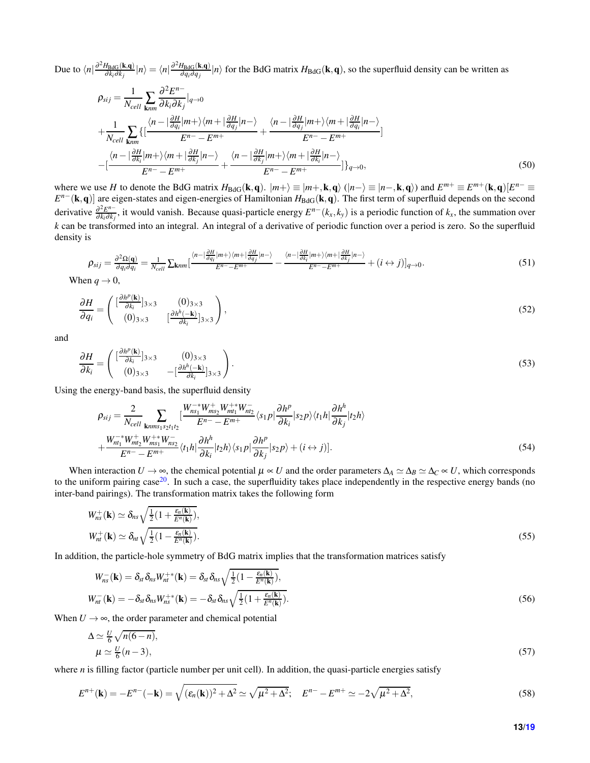Due to  $\langle n|\frac{\partial^2 H_{\text{BdG}}(\mathbf{k},\mathbf{q})}{\partial k_i \partial k_j}$  $\frac{H_{\text{BdG}}({\bf k},{\bf q})}{\partial k_{i} \partial k_{j}}|n\rangle = \langle n|\frac{\partial^{2}H_{\text{BdG}}({\bf k},{\bf q})}{\partial q_{i} \partial q_{j}}|$  $\frac{\partial^2 B dG(k,q)}{\partial q_i \partial q_j}$  |*n*) for the BdG matrix  $H_{BdG}(k,q)$ , so the superfluid density can be written as

$$
\rho_{sij} = \frac{1}{N_{cell}} \sum_{\mathbf{k}nm} \frac{\partial^2 E^{n-}}{\partial k_i \partial k_j} |_{q \to 0}
$$
\n
$$
+ \frac{1}{N_{cell}} \sum_{\mathbf{k}nm} \{ \left[ \frac{\langle n - \left| \frac{\partial H}{\partial q_i} | m + \rangle \langle m + \left| \frac{\partial H}{\partial q_j} | n - \rangle \right|}{E^{n-} - E^{m+}} + \frac{\langle n - \left| \frac{\partial H}{\partial q_j} | m + \rangle \langle m + \left| \frac{\partial H}{\partial q_i} | n - \rangle \right|}{E^{n-} - E^{m+}} \right] \right] \right]
$$
\n
$$
- \left[ \frac{\langle n - \left| \frac{\partial H}{\partial k_i} | m + \rangle \langle m + \left| \frac{\partial H}{\partial k_j} | n - \rangle \right|}{E^{n-} - E^{m+}} + \frac{\langle n - \left| \frac{\partial H}{\partial k_j} | m + \rangle \langle m + \left| \frac{\partial H}{\partial k_i} | n - \rangle \right|}{E^{n-} - E^{m+}} \right] \}_{q \to 0}, \tag{50}
$$

where we use *H* to denote the BdG matrix  $H_{BdG}(\mathbf{k},\mathbf{q})$ .  $|m+\rangle \equiv |m+, \mathbf{k},\mathbf{q}\rangle$  ( $|n-\rangle \equiv |n-, \mathbf{k},\mathbf{q}\rangle$ ) and  $E^{m+} \equiv E^{m+}(\mathbf{k},\mathbf{q})[E^{n-} \equiv E^{m+}(\mathbf{k},\mathbf{q})]$ *E*<sup>n−</sup>(**k**,q)] are eigen-states and eigen-energies of Hamiltonian *H*<sub>BdG</sub>(**k**,q). The first term of superfluid depends on the second derivative <sup>∂</sup> 2*E n*−  $\frac{\partial^2 E^{n-}}{\partial k_i \partial k_j}$ , it would vanish. Because quasi-particle energy  $E^{n-}(k_x, k_y)$  is a periodic function of  $k_x$ , the summation over *k* can be transformed into an integral. An integral of a derivative of periodic function over a period is zero. So the superfluid density is

$$
\rho_{sij} = \frac{\partial^2 \Omega(\mathbf{q})}{\partial q_i \partial q_i} = \frac{1}{N_{cell}} \sum_{knm} \left[ \frac{\langle n - \left| \frac{\partial H}{\partial q_i} | m + \rangle \langle m + \left| \frac{\partial H}{\partial q_j} | n - \rangle \right|}{E^n - E^{m+}} - \frac{\langle n - \left| \frac{\partial H}{\partial k_i} | m + \rangle \langle m + \left| \frac{\partial H}{\partial k_j} | n - \rangle \right|}{E^n - E^{m+}} + (i \leftrightarrow j) \right]_{q \to 0} . \tag{51}
$$

When  $q \rightarrow 0$ ,

$$
\frac{\partial H}{\partial q_i} = \begin{pmatrix} \left[\frac{\partial h^p(\mathbf{k})}{\partial k_i}\right]_{3\times 3} & (0)_{3\times 3} \\ (0)_{3\times 3} & \left[\frac{\partial h^h(-\mathbf{k})}{\partial k_i}\right]_{3\times 3} \end{pmatrix},\tag{52}
$$

and

$$
\frac{\partial H}{\partial k_i} = \begin{pmatrix} \left[\frac{\partial h^p(\mathbf{k})}{\partial k_i}\right]_{3\times 3} & (0)_{3\times 3} \\ (0)_{3\times 3} & -\left[\frac{\partial h^h(-\mathbf{k})}{\partial k_i}\right]_{3\times 3} \end{pmatrix} . \tag{53}
$$

Using the energy-band basis, the superfluid density

$$
\rho_{sij} = \frac{2}{N_{cell}} \sum_{\mathbf{k}nm\mathbf{s}_1\mathbf{s}_2t_1t_2} \left[ \frac{W_{ns_1}^{-*}W_{ms_2}^{+*}W_{mt_1}^{+*}W_{nt_2}^{-}}{E^n - E^{m+}} \langle s_1 p | \frac{\partial h^p}{\partial k_i} | s_2 p \rangle \langle t_1 h | \frac{\partial h^h}{\partial k_j} | t_2 h \rangle \right. \\
\left. + \frac{W_{nt_1}^{-*}W_{mt_2}^{+*}W_{ms_1}^{+*}W_{ns_2}^{-}}{E^n - E^{m+}} \langle t_1 h | \frac{\partial h^h}{\partial k_i} | t_2 h \rangle \langle s_1 p | \frac{\partial h^p}{\partial k_j} | s_2 p \rangle + (i \leftrightarrow j) \right].\n\tag{54}
$$

When interaction  $U \to \infty$ , the chemical potential  $\mu \propto U$  and the order parameters  $\Delta_A \simeq \Delta_B \simeq \Delta_C \sim U$ , which corresponds to the uniform pairing case $^{20}$  $^{20}$  $^{20}$ . In such a case, the superfluidity takes place independently in the respective energy bands (no inter-band pairings). The transformation matrix takes the following form

$$
W_{ns}^{+}(\mathbf{k}) \simeq \delta_{ns} \sqrt{\frac{1}{2} \left( 1 + \frac{\varepsilon_n(\mathbf{k})}{E^n(\mathbf{k})} \right)},
$$
  
\n
$$
W_{nt}^{+}(\mathbf{k}) \simeq \delta_{nt} \sqrt{\frac{1}{2} \left( 1 - \frac{\varepsilon_n(\mathbf{k})}{E^n(\mathbf{k})} \right)}.
$$
\n(55)

In addition, the particle-hole symmetry of BdG matrix implies that the transformation matrices satisfy

$$
W_{ns}^{-}(\mathbf{k}) = \delta_{st} \delta_{ns} W_{nt}^{+*}(\mathbf{k}) = \delta_{st} \delta_{ns} \sqrt{\frac{1}{2} (1 - \frac{\varepsilon_n(\mathbf{k})}{E^n(\mathbf{k})})},
$$
  
\n
$$
W_{nt}^{-}(\mathbf{k}) = -\delta_{st} \delta_{ns} W_{ns}^{+*}(\mathbf{k}) = -\delta_{st} \delta_{ns} \sqrt{\frac{1}{2} (1 + \frac{\varepsilon_n(\mathbf{k})}{E^n(\mathbf{k})})}.
$$
\n(56)

When  $U \rightarrow \infty$ , the order parameter and chemical potential

$$
\Delta \simeq \frac{U}{6} \sqrt{n(6-n)},
$$
  
\n
$$
\mu \simeq \frac{U}{6}(n-3),
$$
\n(57)

where *n* is filling factor (particle number per unit cell). In addition, the quasi-particle energies satisfy

$$
E^{n+}(\mathbf{k}) = -E^{n-}(-\mathbf{k}) = \sqrt{(\varepsilon_n(\mathbf{k}))^2 + \Delta^2} \simeq \sqrt{\mu^2 + \Delta^2}; \quad E^{n-} - E^{m+} \simeq -2\sqrt{\mu^2 + \Delta^2},
$$
\n(58)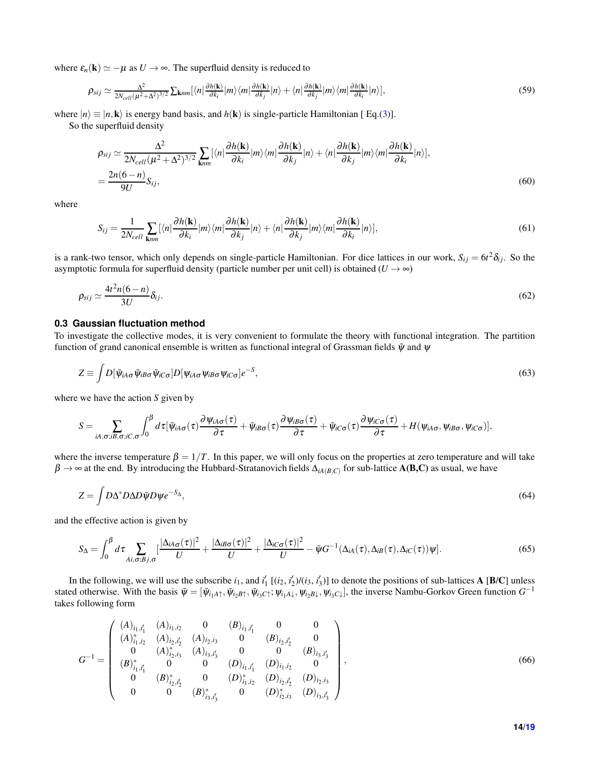where  $\varepsilon_n(\mathbf{k}) \simeq -\mu$  as  $U \to \infty$ . The superfluid density is reduced to

$$
\rho_{sij} \simeq \frac{\Delta^2}{2N_{cell}(\mu^2 + \Delta^2)^{3/2}} \sum_{\mathbf{k}nm} [\langle n|\frac{\partial h(\mathbf{k})}{\partial k_i}|m\rangle \langle m|\frac{\partial h(\mathbf{k})}{\partial k_j}|n\rangle + \langle n|\frac{\partial h(\mathbf{k})}{\partial k_j}|m\rangle \langle m|\frac{\partial h(\mathbf{k})}{\partial k_i}|n\rangle],\tag{59}
$$

where  $|n\rangle \equiv |n, \mathbf{k}\rangle$  is energy band basis, and  $h(\mathbf{k})$  is single-particle Hamiltonian [Eq.[\(3\)](#page-2-0)].

So the superfluid density

$$
\rho_{sij} \simeq \frac{\Delta^2}{2N_{cell}(\mu^2 + \Delta^2)^{3/2}} \sum_{\mathbf{k}nm} [\langle n|\frac{\partial h(\mathbf{k})}{\partial k_i}|m\rangle\langle m|\frac{\partial h(\mathbf{k})}{\partial k_j}|n\rangle + \langle n|\frac{\partial h(\mathbf{k})}{\partial k_j}|m\rangle\langle m|\frac{\partial h(\mathbf{k})}{\partial k_i}|n\rangle],
$$
  
= 
$$
\frac{2n(6-n)}{9U}S_{ij},
$$
 (60)

where

$$
S_{ij} = \frac{1}{2N_{cell}} \sum_{\mathbf{k}nm} [\langle n|\frac{\partial h(\mathbf{k})}{\partial k_i}|m\rangle\langle m|\frac{\partial h(\mathbf{k})}{\partial k_j}|n\rangle + \langle n|\frac{\partial h(\mathbf{k})}{\partial k_j}|m\rangle\langle m|\frac{\partial h(\mathbf{k})}{\partial k_i}|n\rangle],\tag{61}
$$

is a rank-two tensor, which only depends on single-particle Hamiltonian. For dice lattices in our work,  $S_{ij} = 6t^2 \delta_{ij}$ . So the asymptotic formula for superfluid density (particle number per unit cell) is obtained  $(U \rightarrow \infty)$ 

$$
\rho_{sij} \simeq \frac{4t^2 n (6-n)}{3U} \delta_{ij}.\tag{62}
$$

#### **0.3 Gaussian fluctuation method**

To investigate the collective modes, it is very convenient to formulate the theory with functional integration. The partition function of grand canonical ensemble is written as functional integral of Grassman fields  $\bar{\psi}$  and  $\psi$ 

$$
Z \equiv \int D[\bar{\psi}_{iA\sigma} \bar{\psi}_{iB\sigma} \bar{\psi}_{iC\sigma}] D[\psi_{iA\sigma} \psi_{iB\sigma} \psi_{iC\sigma}] e^{-S}, \qquad (63)
$$

where we have the action *S* given by

$$
S=\sum_{iA,\sigma;iB,\sigma;iC,\sigma}\int_0^{\beta}d\tau[\bar{\psi}_{iA\sigma}(\tau)\frac{\partial \psi_{iA\sigma}(\tau)}{\partial \tau}+\bar{\psi}_{iB\sigma}(\tau)\frac{\partial \psi_{iB\sigma}(\tau)}{\partial \tau}+\bar{\psi}_{iC\sigma}(\tau)\frac{\partial \psi_{iC\sigma}(\tau)}{\partial \tau}+H(\psi_{iA\sigma},\psi_{iB\sigma},\psi_{iC\sigma})],
$$

where the inverse temperature  $\beta = 1/T$ . In this paper, we will only focus on the properties at zero temperature and will take  $\beta \to \infty$  at the end. By introducing the Hubbard-Stratanovich fields  $\Delta_{iA(B,C)}$  for sub-lattice  $A(B,C)$  as usual, we have

$$
Z = \int D\Delta^* D\Delta D\bar{\psi} D\psi e^{-S_{\Delta}},\tag{64}
$$

and the effective action is given by

$$
S_{\Delta} = \int_0^{\beta} d\tau \sum_{Ai,\sigma;Bj,\sigma} \left[ \frac{|\Delta_{iA\sigma}(\tau)|^2}{U} + \frac{|\Delta_{iB\sigma}(\tau)|^2}{U} + \frac{|\Delta_{iC\sigma}(\tau)|^2}{U} - \bar{\psi}G^{-1}(\Delta_{iA}(\tau), \Delta_{iB}(\tau), \Delta_{iC}(\tau))\psi \right].
$$
 (65)

In the following, we will use the subscribe  $i_1$ , and  $i'_1$  [ $(i_2, i'_2)$ / $(i_3, i'_3)$ ] to denote the positions of sub-lattices **A** [**B/C**] unless stated otherwise. With the basis  $\bar{\psi} = [\bar{\psi}_{i_1A\uparrow}, \bar{\psi}_{i_2B\uparrow}, \bar{\psi}_{i_3C\uparrow}; \psi_{i_1A\downarrow}, \psi_{i_2B\downarrow}, \psi_{i_3C\downarrow}]$ , the inverse Nambu-Gorkov Green function  $G^{-1}$ takes following form

$$
G^{-1} = \begin{pmatrix} (A)_{i_1,i'_1} & (A)_{i_1,i_2} & 0 & (B)_{i_1,i'_1} & 0 & 0 \\ (A)_{i_1,i_2}^* & (A)_{i_2,i'_2} & (A)_{i_2,i_3} & 0 & (B)_{i_2,i'_2} & 0 \\ 0 & (A)_{i_2,i_3}^* & (A)_{i_3,i'_3} & 0 & 0 & (B)_{i_3,i'_3} \\ (B)_{i_1,i'_1}^* & 0 & 0 & (D)_{i_1,i'_1} & (D)_{i_1,i_2} & 0 \\ 0 & (B)_{i_2,i'_2}^* & 0 & (D)_{i_1,i_2}^* & (D)_{i_2,i_3} \\ 0 & 0 & (B)_{i_3,i'_3}^* & 0 & (D)_{i_2,i_3}^* & (D)_{i_3,i'_3} \end{pmatrix},
$$
\n(66)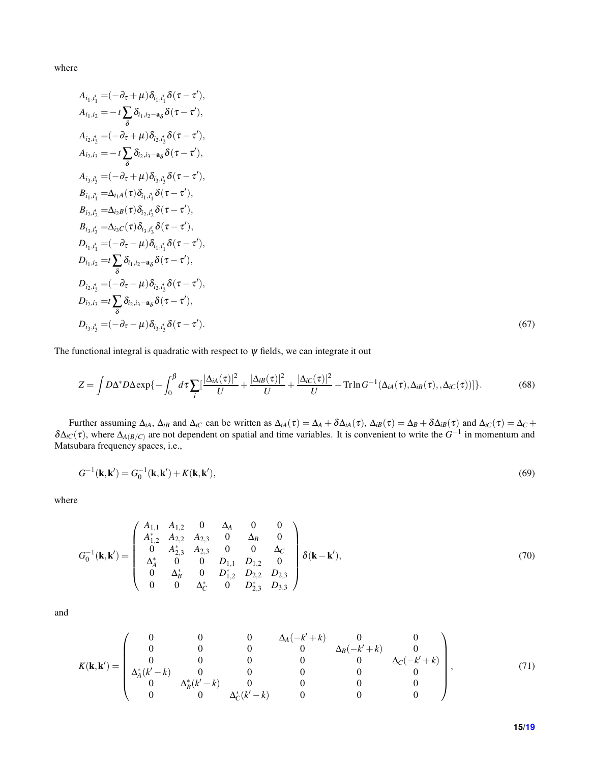where

$$
A_{i_1,i'_1} = (-\partial_{\tau} + \mu) \delta_{i_1,i'_1} \delta(\tau - \tau'),
$$
  
\n
$$
A_{i_1,i_2} = -t \sum_{\delta} \delta_{i_1,i_2-a_{\delta}} \delta(\tau - \tau'),
$$
  
\n
$$
A_{i_2,i_3} = (-\partial_{\tau} + \mu) \delta_{i_2,i'_2} \delta(\tau - \tau'),
$$
  
\n
$$
A_{i_3,i'_3} = -t \sum_{\delta} \delta_{i_2,i_3-a_{\delta}} \delta(\tau - \tau'),
$$
  
\n
$$
A_{i_3,i'_3} = (-\partial_{\tau} + \mu) \delta_{i_3,i'_3} \delta(\tau - \tau'),
$$
  
\n
$$
B_{i_1,i'_1} = \Delta_{i_1A}(\tau) \delta_{i_1,i'_1} \delta(\tau - \tau'),
$$
  
\n
$$
B_{i_2,i'_2} = \Delta_{i_2B}(\tau) \delta_{i_2,i'_2} \delta(\tau - \tau'),
$$
  
\n
$$
B_{i_3,i'_3} = \Delta_{i_3C}(\tau) \delta_{i_3,i'_3} \delta(\tau - \tau'),
$$
  
\n
$$
D_{i_1,i'_1} = (-\partial_{\tau} - \mu) \delta_{i_1,i'_1} \delta(\tau - \tau'),
$$
  
\n
$$
D_{i_1,i_2} = t \sum_{\delta} \delta_{i_1,i_2-a_{\delta}} \delta(\tau - \tau'),
$$
  
\n
$$
D_{i_2,i'_2} = (-\partial_{\tau} - \mu) \delta_{i_2,i'_3} \delta(\tau - \tau'),
$$
  
\n
$$
D_{i_3,i'_3} = t \sum_{\delta} \delta_{i_2,i_3-a_{\delta}} \delta(\tau - \tau'),
$$
  
\n
$$
D_{i_3,i'_3} = \frac{1}{\delta} \sum_{\delta} \delta_{i_3,i_3-a_{\delta}} \delta(\tau - \tau').
$$
  
\n(67)

The functional integral is quadratic with respect to  $\psi$  fields, we can integrate it out

$$
Z = \int D\Delta^* D\Delta \exp\{-\int_0^\beta d\tau \sum_i \left[\frac{|\Delta_{iA}(\tau)|^2}{U} + \frac{|\Delta_{iB}(\tau)|^2}{U} + \frac{|\Delta_{iC}(\tau)|^2}{U} - \text{Tr}\ln G^{-1}(\Delta_{iA}(\tau), \Delta_{iB}(\tau), \Delta_{iC}(\tau))\right]\}.
$$
 (68)

Further assuming  $\Delta_{iA}$ ,  $\Delta_{iB}$  and  $\Delta_{iC}$  can be written as  $\Delta_{iA}(\tau) = \Delta_A + \delta \Delta_{iA}(\tau)$ ,  $\Delta_{iB}(\tau) = \Delta_B + \delta \Delta_{iB}(\tau)$  and  $\Delta_{iC}(\tau) = \Delta_C + \Delta_B(\tau)$  $\delta\Delta_iC(\tau)$ , where  $\Delta_{A(B/C)}$  are not dependent on spatial and time variables. It is convenient to write the  $G^{-1}$  in momentum and Matsubara frequency spaces, i.e.,

$$
G^{-1}(\mathbf{k}, \mathbf{k}') = G_0^{-1}(\mathbf{k}, \mathbf{k}') + K(\mathbf{k}, \mathbf{k}'),
$$
\n(69)

where

$$
G_0^{-1}(\mathbf{k}, \mathbf{k}') = \begin{pmatrix} A_{1,1} & A_{1,2} & 0 & \Delta_A & 0 & 0 \\ A_{1,2}^* & A_{2,2} & A_{2,3} & 0 & \Delta_B & 0 \\ 0 & A_{2,3}^* & A_{2,3} & 0 & 0 & \Delta_C \\ \Delta_A^* & 0 & 0 & D_{1,1} & D_{1,2} & 0 \\ 0 & \Delta_B^* & 0 & D_{1,2}^* & D_{2,2} & D_{2,3} \\ 0 & 0 & \Delta_C^* & 0 & D_{2,3}^* & D_{3,3} \end{pmatrix} \delta(\mathbf{k} - \mathbf{k}'), \tag{70}
$$

and

$$
K(\mathbf{k}, \mathbf{k}') = \begin{pmatrix} 0 & 0 & 0 & \Delta_A(-k'+k) & 0 & 0 \\ 0 & 0 & 0 & 0 & \Delta_B(-k'+k) & 0 \\ 0 & 0 & 0 & 0 & 0 & \Delta_C(-k'+k) \\ \Delta_A^*(k'-k) & 0 & 0 & 0 & 0 & 0 \\ 0 & \Delta_B^*(k'-k) & 0 & 0 & 0 & 0 \\ 0 & 0 & \Delta_C^*(k'-k) & 0 & 0 & 0 \end{pmatrix},
$$
(71)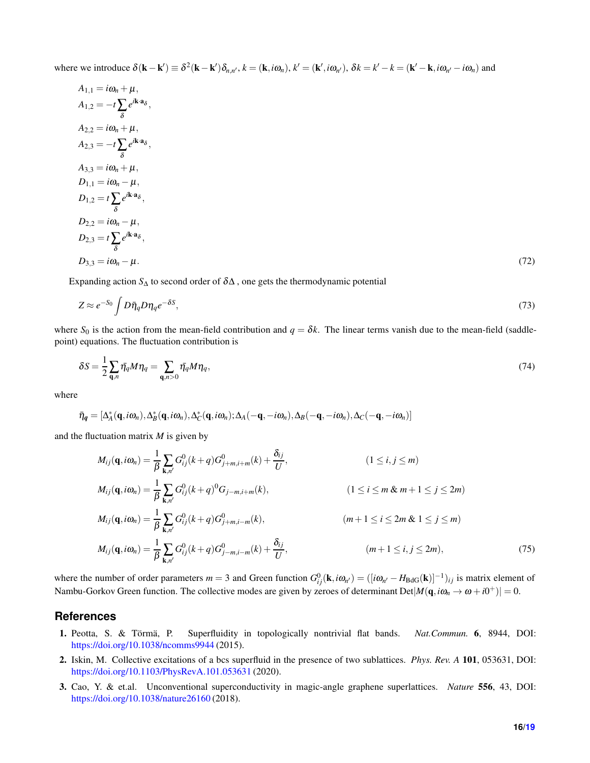where we introduce  $\delta(\mathbf{k} - \mathbf{k}') \equiv \delta^2(\mathbf{k} - \mathbf{k}') \delta_{n,n'}$ ,  $k = (\mathbf{k}, i\omega_n)$ ,  $k' = (\mathbf{k}', i\omega_{n'})$ ,  $\delta k = k' - k = (\mathbf{k}' - \mathbf{k}, i\omega_{n'} - i\omega_n)$  and

$$
A_{1,1} = i\omega_n + \mu,
$$
  
\n
$$
A_{1,2} = -t\sum_{\delta} e^{i\mathbf{k} \cdot \mathbf{a}_{\delta}},
$$
  
\n
$$
A_{2,2} = i\omega_n + \mu,
$$
  
\n
$$
A_{2,3} = -t\sum_{\delta} e^{i\mathbf{k} \cdot \mathbf{a}_{\delta}},
$$
  
\n
$$
A_{3,3} = i\omega_n + \mu,
$$
  
\n
$$
D_{1,1} = i\omega_n - \mu,
$$
  
\n
$$
D_{1,2} = t\sum_{\delta} e^{i\mathbf{k} \cdot \mathbf{a}_{\delta}},
$$
  
\n
$$
D_{2,2} = i\omega_n - \mu,
$$
  
\n
$$
D_{2,3} = t\sum_{\delta} e^{i\mathbf{k} \cdot \mathbf{a}_{\delta}},
$$
  
\n
$$
D_{3,3} = i\omega_n - \mu.
$$
  
\n(72)

Expanding action  $S_\Delta$  to second order of  $\delta\Delta$ , one gets the thermodynamic potential

$$
Z \approx e^{-S_0} \int D\bar{\eta}_q D\eta_q e^{-\delta S},\tag{73}
$$

where  $S_0$  is the action from the mean-field contribution and  $q = \delta k$ . The linear terms vanish due to the mean-field (saddlepoint) equations. The fluctuation contribution is

$$
\delta S = \frac{1}{2} \sum_{\mathbf{q},n} \bar{\eta}_q M \eta_q = \sum_{\mathbf{q},n>0} \bar{\eta}_q M \eta_q, \tag{74}
$$

where

 $\bar{\eta}_q = [\Delta_A^*(\mathbf{q}, i\omega_n), \Delta_B^*(\mathbf{q}, i\omega_n), \Delta_C^*(\mathbf{q}, i\omega_n); \Delta_A(-\mathbf{q}, -i\omega_n), \Delta_B(-\mathbf{q}, -i\omega_n), \Delta_C(-\mathbf{q}, -i\omega_n)]$ 

and the fluctuation matrix *M* is given by

$$
M_{ij}(\mathbf{q}, i\omega_n) = \frac{1}{\beta} \sum_{\mathbf{k}, n'} G_{ij}^0(k+q) G_{j+m,i+m}^0(k) + \frac{\delta_{ij}}{U},
$$
\n
$$
M_{ij}(\mathbf{q}, i\omega_n) = \frac{1}{\beta} \sum_{\mathbf{k}, n'} G_{ij}^0(k+q)^0 G_{j-m,i+m}(k),
$$
\n
$$
M_{ij}(\mathbf{q}, i\omega_n) = \frac{1}{\beta} \sum_{\mathbf{k}, n'} G_{ij}^0(k+q) G_{j+m,i-m}^0(k),
$$
\n
$$
M_{ij}(\mathbf{q}, i\omega_n) = \frac{1}{\beta} \sum_{\mathbf{k}, n'} G_{ij}^0(k+q) G_{j+m,i-m}^0(k),
$$
\n
$$
m+1 \le i \le 2m \& 1 \le j \le m)
$$
\n
$$
M_{ij}(\mathbf{q}, i\omega_n) = \frac{1}{\beta} \sum_{\mathbf{k}, n'} G_{ij}^0(k+q) G_{j-m,i-m}^0(k) + \frac{\delta_{ij}}{U},
$$
\n
$$
(m+1 \le i, j \le 2m),
$$
\n
$$
(75)
$$

where the number of order parameters  $m = 3$  and Green function  $G_{ij}^0(\mathbf{k}, i\omega_{n'}) = ([i\omega_{n'} - H_{BdG}(\mathbf{k})]^{-1})_{ij}$  is matrix element of Nambu-Gorkov Green function. The collective modes are given by zeroes of determinant  $Det|M(\mathbf{q}, i\omega_n \to \omega + i0^+)| = 0$ .

## <span id="page-15-0"></span>**References**

- 1. Peotta, S. & Törmä, P. Superfluidity in topologically nontrivial flat bands. *Nat.Commun.* 6, 8944, DOI: <https://doi.org/10.1038/ncomms9944> (2015).
- 2. Iskin, M. Collective excitations of a bcs superfluid in the presence of two sublattices. *Phys. Rev. A* 101, 053631, DOI: <https://doi.org/10.1103/PhysRevA.101.053631> (2020).
- 3. Cao, Y. & et.al. Unconventional superconductivity in magic-angle graphene superlattices. *Nature* 556, 43, DOI: <https://doi.org/10.1038/nature26160> (2018).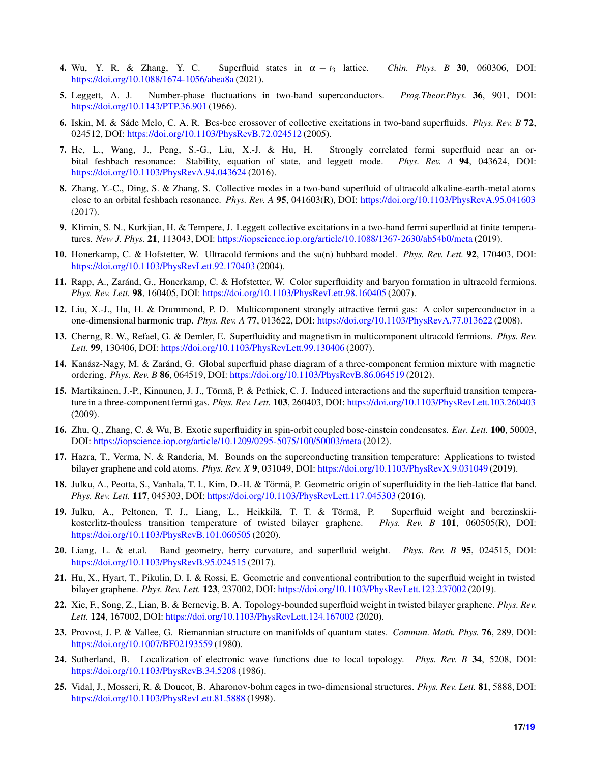- <span id="page-16-1"></span><span id="page-16-0"></span>4. Wu, Y. R. & Zhang, Y. C. Superfluid states in  $\alpha - t_3$  lattice. *Chin. Phys. B* 30, 060306, DOI: <https://doi.org/10.1088/1674-1056/abea8a> (2021).
- 5. Leggett, A. J. Number-phase fluctuations in two-band superconductors. *Prog.Theor.Phys.* 36, 901, DOI: <https://doi.org/10.1143/PTP.36.901> (1966).
- 6. Iskin, M. & Sáde Melo, C. A. R. Bcs-bec crossover of collective excitations in two-band superfluids. *Phys. Rev. B* 72, 024512, DOI: <https://doi.org/10.1103/PhysRevB.72.024512> (2005).
- 7. He, L., Wang, J., Peng, S.-G., Liu, X.-J. & Hu, H. Strongly correlated fermi superfluid near an orbital feshbach resonance: Stability, equation of state, and leggett mode. *Phys. Rev. A* 94, 043624, DOI: <https://doi.org/10.1103/PhysRevA.94.043624> (2016).
- <span id="page-16-16"></span>8. Zhang, Y.-C., Ding, S. & Zhang, S. Collective modes in a two-band superfluid of ultracold alkaline-earth-metal atoms close to an orbital feshbach resonance. *Phys. Rev. A* 95, 041603(R), DOI: <https://doi.org/10.1103/PhysRevA.95.041603> (2017).
- <span id="page-16-3"></span><span id="page-16-2"></span>9. Klimin, S. N., Kurkjian, H. & Tempere, J. Leggett collective excitations in a two-band fermi superfluid at finite temperatures. *New J. Phys.* 21, 113043, DOI: <https://iopscience.iop.org/article/10.1088/1367-2630/ab54b0/meta> (2019).
- 10. Honerkamp, C. & Hofstetter, W. Ultracold fermions and the su(n) hubbard model. *Phys. Rev. Lett.* 92, 170403, DOI: <https://doi.org/10.1103/PhysRevLett.92.170403> (2004).
- <span id="page-16-4"></span>11. Rapp, A., Zaránd, G., Honerkamp, C. & Hofstetter, W. Color superfluidity and baryon formation in ultracold fermions. *Phys. Rev. Lett.* 98, 160405, DOI: <https://doi.org/10.1103/PhysRevLett.98.160405> (2007).
- <span id="page-16-5"></span>12. Liu, X.-J., Hu, H. & Drummond, P. D. Multicomponent strongly attractive fermi gas: A color superconductor in a one-dimensional harmonic trap. *Phys. Rev. A* 77, 013622, DOI: <https://doi.org/10.1103/PhysRevA.77.013622> (2008).
- <span id="page-16-6"></span>13. Cherng, R. W., Refael, G. & Demler, E. Superfluidity and magnetism in multicomponent ultracold fermions. *Phys. Rev. Lett.* 99, 130406, DOI: <https://doi.org/10.1103/PhysRevLett.99.130406> (2007).
- <span id="page-16-7"></span>14. Kanász-Nagy, M. & Zaránd, G. Global superfluid phase diagram of a three-component fermion mixture with magnetic ordering. *Phys. Rev. B* 86, 064519, DOI: <https://doi.org/10.1103/PhysRevB.86.064519> (2012).
- 15. Martikainen, J.-P., Kinnunen, J. J., Törmä, P. & Pethick, C. J. Induced interactions and the superfluid transition temperature in a three-component fermi gas. *Phys. Rev. Lett.* 103, 260403, DOI: <https://doi.org/10.1103/PhysRevLett.103.260403> (2009).
- <span id="page-16-9"></span><span id="page-16-8"></span>16. Zhu, Q., Zhang, C. & Wu, B. Exotic superfluidity in spin-orbit coupled bose-einstein condensates. *Eur. Lett.* 100, 50003, DOI: <https://iopscience.iop.org/article/10.1209/0295-5075/100/50003/meta> (2012).
- <span id="page-16-10"></span>17. Hazra, T., Verma, N. & Randeria, M. Bounds on the superconducting transition temperature: Applications to twisted bilayer graphene and cold atoms. *Phys. Rev. X* 9, 031049, DOI: <https://doi.org/10.1103/PhysRevX.9.031049> (2019).
- <span id="page-16-11"></span>18. Julku, A., Peotta, S., Vanhala, T. I., Kim, D.-H. & Törmä, P. Geometric origin of superfluidity in the lieb-lattice flat band. *Phys. Rev. Lett.* 117, 045303, DOI: <https://doi.org/10.1103/PhysRevLett.117.045303> (2016).
- 19. Julku, A., Peltonen, T. J., Liang, L., Heikkilä, T. T. & Törmä, P. Superfluid weight and berezinskiikosterlitz-thouless transition temperature of twisted bilayer graphene. *Phys. Rev. B* 101, 060505(R), DOI: <https://doi.org/10.1103/PhysRevB.101.060505> (2020).
- <span id="page-16-12"></span>20. Liang, L. & et.al. Band geometry, berry curvature, and superfluid weight. *Phys. Rev. B* 95, 024515, DOI: <https://doi.org/10.1103/PhysRevB.95.024515> (2017).
- <span id="page-16-13"></span>21. Hu, X., Hyart, T., Pikulin, D. I. & Rossi, E. Geometric and conventional contribution to the superfluid weight in twisted bilayer graphene. *Phys. Rev. Lett.* 123, 237002, DOI: <https://doi.org/10.1103/PhysRevLett.123.237002> (2019).
- <span id="page-16-14"></span>22. Xie, F., Song, Z., Lian, B. & Bernevig, B. A. Topology-bounded superfluid weight in twisted bilayer graphene. *Phys. Rev. Lett.* 124, 167002, DOI: <https://doi.org/10.1103/PhysRevLett.124.167002> (2020).
- <span id="page-16-15"></span>23. Provost, J. P. & Vallee, G. Riemannian structure on manifolds of quantum states. *Commun. Math. Phys.* 76, 289, DOI: <https://doi.org/10.1007/BF02193559> (1980).
- 24. Sutherland, B. Localization of electronic wave functions due to local topology. *Phys. Rev. B* 34, 5208, DOI: <https://doi.org/10.1103/PhysRevB.34.5208> (1986).
- 25. Vidal, J., Mosseri, R. & Doucot, B. Aharonov-bohm cages in two-dimensional structures. *Phys. Rev. Lett.* 81, 5888, DOI: <https://doi.org/10.1103/PhysRevLett.81.5888> (1998).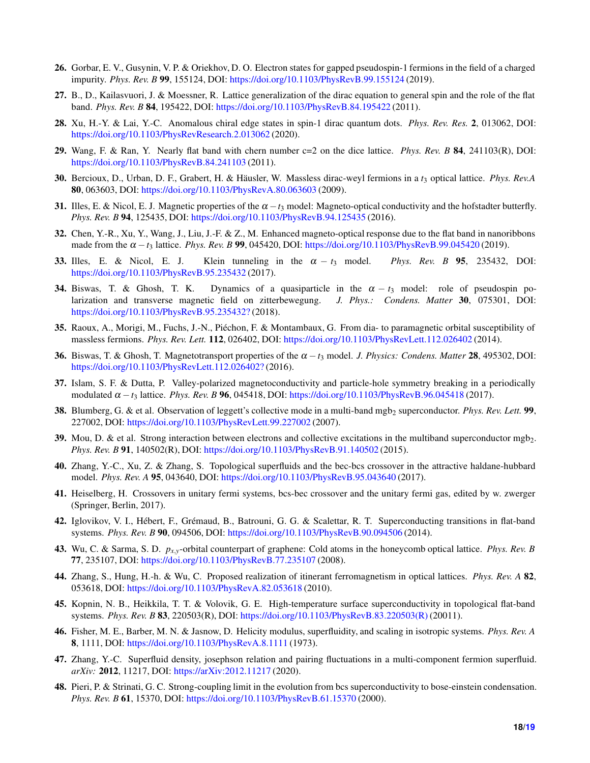- <span id="page-17-1"></span><span id="page-17-0"></span>26. Gorbar, E. V., Gusynin, V. P. & Oriekhov, D. O. Electron states for gapped pseudospin-1 fermions in the field of a charged impurity. *Phys. Rev. B* 99, 155124, DOI: <https://doi.org/10.1103/PhysRevB.99.155124> (2019).
- <span id="page-17-2"></span>27. B., D., Kailasvuori, J. & Moessner, R. Lattice generalization of the dirac equation to general spin and the role of the flat band. *Phys. Rev. B* 84, 195422, DOI: <https://doi.org/10.1103/PhysRevB.84.195422> (2011).
- <span id="page-17-3"></span>28. Xu, H.-Y. & Lai, Y.-C. Anomalous chiral edge states in spin-1 dirac quantum dots. *Phys. Rev. Res.* 2, 013062, DOI: <https://doi.org/10.1103/PhysRevResearch.2.013062> (2020).
- <span id="page-17-4"></span>29. Wang, F. & Ran, Y. Nearly flat band with chern number c=2 on the dice lattice. *Phys. Rev. B* 84, 241103(R), DOI: <https://doi.org/10.1103/PhysRevB.84.241103> (2011).
- <span id="page-17-5"></span>30. Bercioux, D., Urban, D. F., Grabert, H. & Häusler, W. Massless dirac-weyl fermions in a *t*<sup>3</sup> optical lattice. *Phys. Rev.A* 80, 063603, DOI: <https://doi.org/10.1103/PhysRevA.80.063603> (2009).
- <span id="page-17-6"></span>31. Illes, E. & Nicol, E. J. Magnetic properties of the  $\alpha - t_3$  model: Magneto-optical conductivity and the hofstadter butterfly. *Phys. Rev. B* 94, 125435, DOI: <https://doi.org/10.1103/PhysRevB.94.125435> (2016).
- <span id="page-17-7"></span>32. Chen, Y.-R., Xu, Y., Wang, J., Liu, J.-F. & Z., M. Enhanced magneto-optical response due to the flat band in nanoribbons made from the <sup>α</sup> −*t*<sup>3</sup> lattice. *Phys. Rev. B* 99, 045420, DOI: <https://doi.org/10.1103/PhysRevB.99.045420> (2019).
- <span id="page-17-8"></span>33. Illes, E. & Nicol, E. J. Klein tunneling in the <sup>α</sup> − *t*<sup>3</sup> model. *Phys. Rev. B* 95, 235432, DOI: <https://doi.org/10.1103/PhysRevB.95.235432> (2017).
- 34. Biswas, T. & Ghosh, T. K. Dynamics of a quasiparticle in the  $\alpha t_3$  model: role of pseudospin polarization and transverse magnetic field on zitterbewegung. *J. Phys.: Condens. Matter* 30, 075301, DOI: <https://doi.org/10.1103/PhysRevB.95.235432?> (2018).
- <span id="page-17-10"></span><span id="page-17-9"></span>35. Raoux, A., Morigi, M., Fuchs, J.-N., Piéchon, F. & Montambaux, G. From dia- to paramagnetic orbital susceptibility of massless fermions. *Phys. Rev. Lett.* 112, 026402, DOI: <https://doi.org/10.1103/PhysRevLett.112.026402> (2014).
- <span id="page-17-11"></span>36. Biswas, T. & Ghosh, T. Magnetotransport properties of the <sup>α</sup> −*t*<sup>3</sup> model. *J. Physics: Condens. Matter* 28, 495302, DOI: <https://doi.org/10.1103/PhysRevLett.112.026402?> (2016).
- <span id="page-17-12"></span>37. Islam, S. F. & Dutta, P. Valley-polarized magnetoconductivity and particle-hole symmetry breaking in a periodically modulated <sup>α</sup> −*t*<sup>3</sup> lattice. *Phys. Rev. B* 96, 045418, DOI: <https://doi.org/10.1103/PhysRevB.96.045418> (2017).
- <span id="page-17-13"></span>38. Blumberg, G. & et al. Observation of leggett's collective mode in a multi-band mgb<sub>2</sub> superconductor. *Phys. Rev. Lett.* 99, 227002, DOI: <https://doi.org/10.1103/PhysRevLett.99.227002> (2007).
- <span id="page-17-14"></span>39. Mou, D. & et al. Strong interaction between electrons and collective excitations in the multiband superconductor mgb<sub>2</sub>. *Phys. Rev. B* 91, 140502(R), DOI: <https://doi.org/10.1103/PhysRevB.91.140502> (2015).
- <span id="page-17-15"></span>40. Zhang, Y.-C., Xu, Z. & Zhang, S. Topological superfluids and the bec-bcs crossover in the attractive haldane-hubbard model. *Phys. Rev. A* 95, 043640, DOI: <https://doi.org/10.1103/PhysRevB.95.043640> (2017).
- <span id="page-17-16"></span>41. Heiselberg, H. Crossovers in unitary fermi systems, bcs-bec crossover and the unitary fermi gas, edited by w. zwerger (Springer, Berlin, 2017).
- <span id="page-17-17"></span>42. Iglovikov, V. I., Hébert, F., Grémaud, B., Batrouni, G. G. & Scalettar, R. T. Superconducting transitions in flat-band systems. *Phys. Rev. B* 90, 094506, DOI: <https://doi.org/10.1103/PhysRevB.90.094506> (2014).
- <span id="page-17-18"></span>43. Wu, C. & Sarma, S. D. *px*,*y*-orbital counterpart of graphene: Cold atoms in the honeycomb optical lattice. *Phys. Rev. B* 77, 235107, DOI: <https://doi.org/10.1103/PhysRevB.77.235107> (2008).
- <span id="page-17-19"></span>44. Zhang, S., Hung, H.-h. & Wu, C. Proposed realization of itinerant ferromagnetism in optical lattices. *Phys. Rev. A* 82, 053618, DOI: <https://doi.org/10.1103/PhysRevA.82.053618> (2010).
- <span id="page-17-20"></span>45. Kopnin, N. B., Heikkila, T. T. & Volovik, G. E. High-temperature surface superconductivity in topological flat-band systems. *Phys. Rev. B* 83, 220503(R), DOI: [https://doi.org/10.1103/PhysRevB.83.220503\(R\)](https://doi.org/10.1103/PhysRevB.83.220503(R)) (20011).
- <span id="page-17-21"></span>46. Fisher, M. E., Barber, M. N. & Jasnow, D. Helicity modulus, superfluidity, and scaling in isotropic systems. *Phys. Rev. A* 8, 1111, DOI: <https://doi.org/10.1103/PhysRevA.8.1111> (1973).
- <span id="page-17-22"></span>47. Zhang, Y.-C. Superfluid density, josephson relation and pairing fluctuations in a multi-component fermion superfluid. *arXiv:* 2012, 11217, DOI: <https://arXiv:2012.11217> (2020).
- 48. Pieri, P. & Strinati, G. C. Strong-coupling limit in the evolution from bcs superconductivity to bose-einstein condensation. *Phys. Rev. B* 61, 15370, DOI: <https://doi.org/10.1103/PhysRevB.61.15370> (2000).